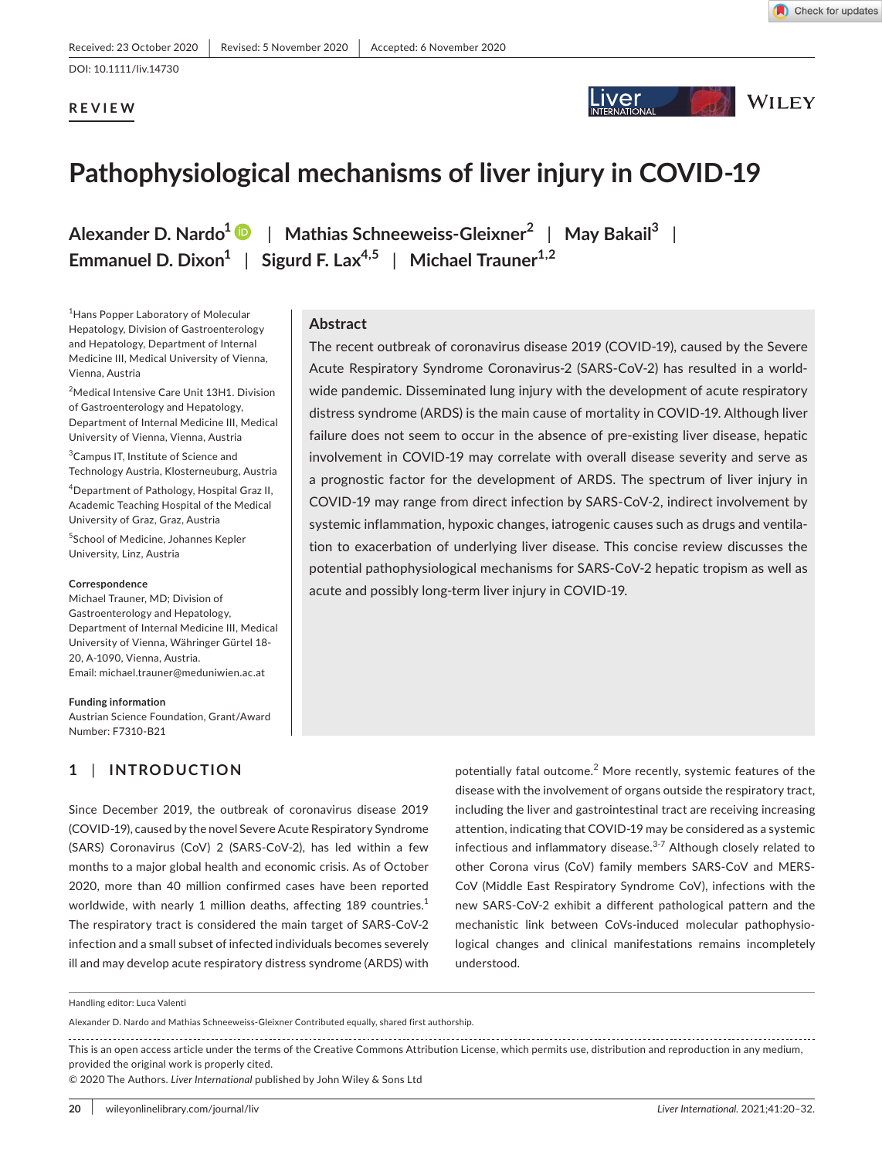## **REVIEW**



**Iver** 

The recent outbreak of coronavirus disease 2019 (COVID-19), caused by the Severe Acute Respiratory Syndrome Coronavirus-2 (SARS-CoV-2) has resulted in a worldwide pandemic. Disseminated lung injury with the development of acute respiratory distress syndrome (ARDS) is the main cause of mortality in COVID-19. Although liver failure does not seem to occur in the absence of pre-existing liver disease, hepatic involvement in COVID-19 may correlate with overall disease severity and serve as a prognostic factor for the development of ARDS. The spectrum of liver injury in COVID-19 may range from direct infection by SARS-CoV-2, indirect involvement by systemic inflammation, hypoxic changes, iatrogenic causes such as drugs and ventilation to exacerbation of underlying liver disease. This concise review discusses the potential pathophysiological mechanisms for SARS-CoV-2 hepatic tropism as well as

**WILEY** 

# **Pathophysiological mechanisms of liver injury in COVID-19**

**Alexander D. Nardo[1](https://orcid.org/0000-0003-1895-7161)** | **Mathias Schneeweiss-Gleixner<sup>2</sup>** | **May Bakail3** | **Emmanuel D. Dixon<sup>1</sup>** | **Sigurd F. Lax4,5** | **Michael Trauner1,2**

**Abstract**

1 Hans Popper Laboratory of Molecular Hepatology, Division of Gastroenterology and Hepatology, Department of Internal Medicine III, Medical University of Vienna, Vienna, Austria

<sup>2</sup>Medical Intensive Care Unit 13H1. Division of Gastroenterology and Hepatology, Department of Internal Medicine III, Medical University of Vienna, Vienna, Austria

<sup>3</sup> Campus IT, Institute of Science and Technology Austria, Klosterneuburg, Austria

4 Department of Pathology, Hospital Graz II, Academic Teaching Hospital of the Medical University of Graz, Graz, Austria

5 School of Medicine, Johannes Kepler University, Linz, Austria

#### **Correspondence**

Michael Trauner, MD; Division of Gastroenterology and Hepatology, Department of Internal Medicine III, Medical University of Vienna, Währinger Gürtel 18- 20, A-1090, Vienna, Austria. Email: [michael.trauner@meduniwien.ac.at](mailto:michael.trauner@meduniwien.ac.at)

#### **Funding information**

Austrian Science Foundation, Grant/Award Number: F7310-B21

### **1** | **INTRODUCTION**

Since December 2019, the outbreak of coronavirus disease 2019 (COVID-19), caused by the novel Severe Acute Respiratory Syndrome (SARS) Coronavirus (CoV) 2 (SARS-CoV-2), has led within a few months to a major global health and economic crisis. As of October 2020, more than 40 million confirmed cases have been reported worldwide, with nearly 1 million deaths, affecting 189 countries. $<sup>1</sup>$ </sup> The respiratory tract is considered the main target of SARS-CoV-2 infection and a small subset of infected individuals becomes severely ill and may develop acute respiratory distress syndrome (ARDS) with potentially fatal outcome.<sup>2</sup> More recently, systemic features of the disease with the involvement of organs outside the respiratory tract, including the liver and gastrointestinal tract are receiving increasing attention, indicating that COVID-19 may be considered as a systemic infectious and inflammatory disease. $3-7$  Although closely related to other Corona virus (CoV) family members SARS-CoV and MERS-CoV (Middle East Respiratory Syndrome CoV), infections with the new SARS-CoV-2 exhibit a different pathological pattern and the mechanistic link between CoVs-induced molecular pathophysiological changes and clinical manifestations remains incompletely understood.

Alexander D. Nardo and Mathias Schneeweiss-Gleixner Contributed equally, shared first authorship.

This is an open access article under the terms of the [Creative Commons Attribution](http://creativecommons.org/licenses/by/4.0/) License, which permits use, distribution and reproduction in any medium, provided the original work is properly cited.

acute and possibly long-term liver injury in COVID-19.

© 2020 The Authors. *Liver International* published by John Wiley & Sons Ltd

Handling editor: Luca Valenti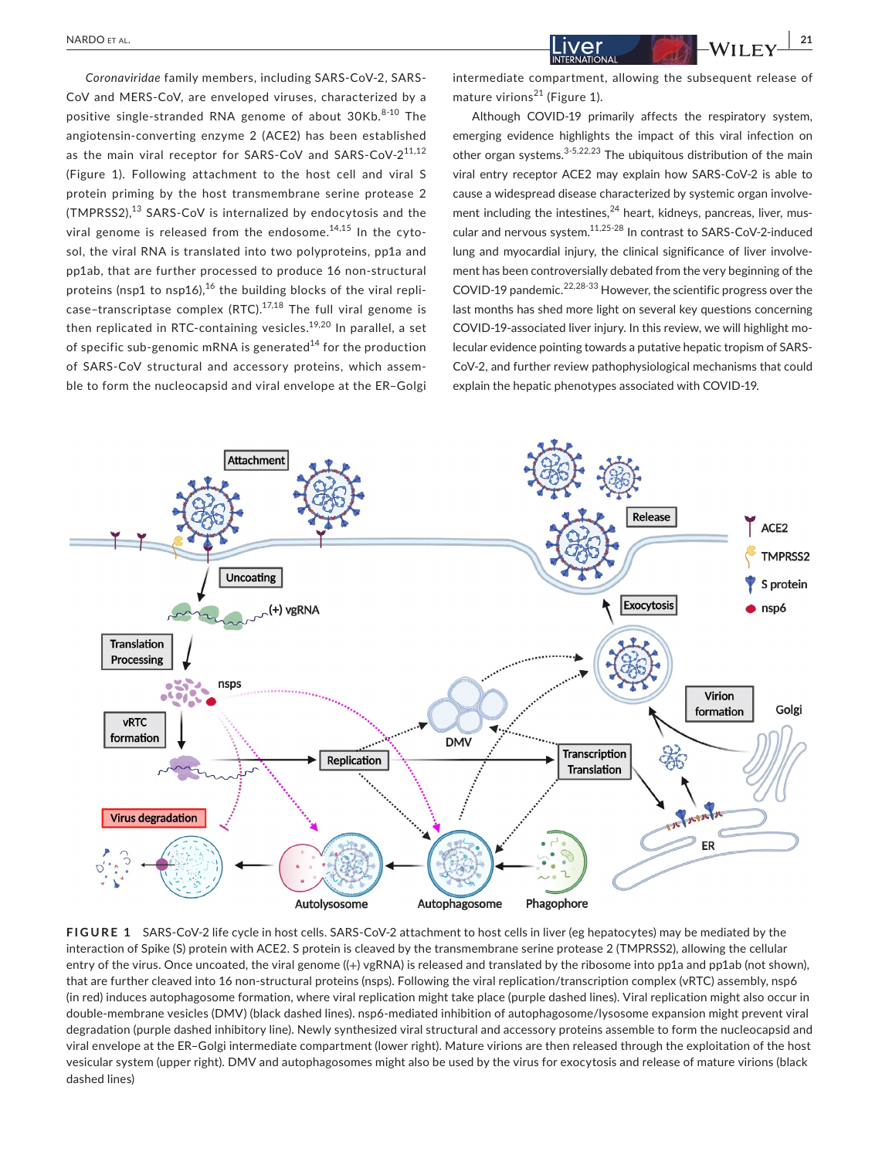*Coronaviridae* family members, including SARS-CoV-2, SARS-CoV and MERS-CoV, are enveloped viruses, characterized by a positive single-stranded RNA genome of about 30Kb.<sup>8-10</sup> The angiotensin-converting enzyme 2 (ACE2) has been established as the main viral receptor for SARS-CoV and SARS-CoV-2<sup>11,12</sup> (Figure 1). Following attachment to the host cell and viral S protein priming by the host transmembrane serine protease 2 (TMPRSS2), $^{13}$  SARS-CoV is internalized by endocytosis and the viral genome is released from the endosome.<sup>14,15</sup> In the cytosol, the viral RNA is translated into two polyproteins, pp1a and pp1ab, that are further processed to produce 16 non-structural proteins (nsp1 to nsp16), $^{16}$  the building blocks of the viral replicase-transcriptase complex (RTC). $17,18$  The full viral genome is then replicated in RTC-containing vesicles.<sup>19,20</sup> In parallel, a set of specific sub-genomic mRNA is generated<sup>14</sup> for the production of SARS-CoV structural and accessory proteins, which assemble to form the nucleocapsid and viral envelope at the ER–Golgi intermediate compartment, allowing the subsequent release of mature virions<sup>21</sup> (Figure 1).

Although COVID-19 primarily affects the respiratory system, emerging evidence highlights the impact of this viral infection on other organ systems. $3-5,22,23$  The ubiquitous distribution of the main viral entry receptor ACE2 may explain how SARS-CoV-2 is able to cause a widespread disease characterized by systemic organ involvement including the intestines, $^{24}$  heart, kidneys, pancreas, liver, muscular and nervous system.11,25-28 In contrast to SARS-CoV-2-induced lung and myocardial injury, the clinical significance of liver involvement has been controversially debated from the very beginning of the COVID-19 pandemic.<sup>22,28-33</sup> However, the scientific progress over the last months has shed more light on several key questions concerning COVID-19-associated liver injury. In this review, we will highlight molecular evidence pointing towards a putative hepatic tropism of SARS-CoV-2, and further review pathophysiological mechanisms that could explain the hepatic phenotypes associated with COVID-19.



**FIGURE 1** SARS-CoV-2 life cycle in host cells. SARS-CoV-2 attachment to host cells in liver (eg hepatocytes) may be mediated by the interaction of Spike (S) protein with ACE2. S protein is cleaved by the transmembrane serine protease 2 (TMPRSS2), allowing the cellular entry of the virus. Once uncoated, the viral genome ((+) vgRNA) is released and translated by the ribosome into pp1a and pp1ab (not shown), that are further cleaved into 16 non-structural proteins (nsps). Following the viral replication/transcription complex (vRTC) assembly, nsp6 (in red) induces autophagosome formation, where viral replication might take place (purple dashed lines). Viral replication might also occur in double-membrane vesicles (DMV) (black dashed lines). nsp6-mediated inhibition of autophagosome/lysosome expansion might prevent viral degradation (purple dashed inhibitory line). Newly synthesized viral structural and accessory proteins assemble to form the nucleocapsid and viral envelope at the ER–Golgi intermediate compartment (lower right). Mature virions are then released through the exploitation of the host vesicular system (upper right). DMV and autophagosomes might also be used by the virus for exocytosis and release of mature virions (black dashed lines)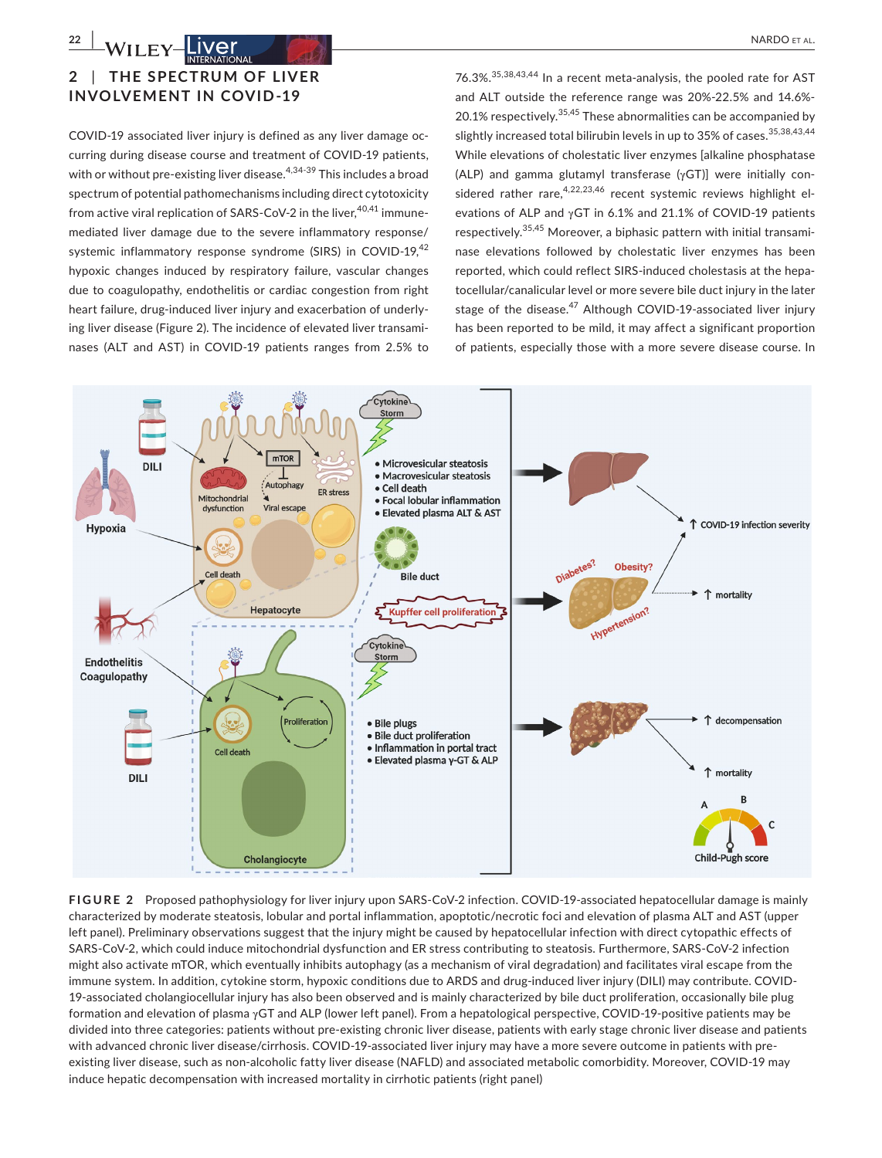## **2** | **THE SPEC TRUM OF LIVER INVOLVEMENT IN COVID-19**

COVID-19 associated liver injury is defined as any liver damage occurring during disease course and treatment of COVID-19 patients, with or without pre-existing liver disease.<sup>4,34-39</sup> This includes a broad spectrum of potential pathomechanisms including direct cytotoxicity from active viral replication of SARS-CoV-2 in the liver,<sup>40,41</sup> immunemediated liver damage due to the severe inflammatory response/ systemic inflammatory response syndrome (SIRS) in COVID-19,<sup>42</sup> hypoxic changes induced by respiratory failure, vascular changes due to coagulopathy, endothelitis or cardiac congestion from right heart failure, drug-induced liver injury and exacerbation of underlying liver disease (Figure 2). The incidence of elevated liver transaminases (ALT and AST) in COVID-19 patients ranges from 2.5% to 76.3%.35,38,43,44 In a recent meta-analysis, the pooled rate for AST and ALT outside the reference range was 20%-22.5% and 14.6%- 20.1% respectively.  $35,45$  These abnormalities can be accompanied by slightly increased total bilirubin levels in up to  $35\%$  of cases.  $35,38,43,44$ While elevations of cholestatic liver enzymes [alkaline phosphatase (ALP) and gamma glutamyl transferase (γGT)] were initially considered rather rare,  $4,22,23,46$  recent systemic reviews highlight elevations of ALP and γGT in 6.1% and 21.1% of COVID-19 patients respectively.35,45 Moreover, a biphasic pattern with initial transaminase elevations followed by cholestatic liver enzymes has been reported, which could reflect SIRS-induced cholestasis at the hepatocellular/canalicular level or more severe bile duct injury in the later stage of the disease.<sup>47</sup> Although COVID-19-associated liver injury has been reported to be mild, it may affect a significant proportion of patients, especially those with a more severe disease course. In



**FIGURE 2** Proposed pathophysiology for liver injury upon SARS-CoV-2 infection. COVID-19-associated hepatocellular damage is mainly characterized by moderate steatosis, lobular and portal inflammation, apoptotic/necrotic foci and elevation of plasma ALT and AST (upper left panel). Preliminary observations suggest that the injury might be caused by hepatocellular infection with direct cytopathic effects of SARS-CoV-2, which could induce mitochondrial dysfunction and ER stress contributing to steatosis. Furthermore, SARS-CoV-2 infection might also activate mTOR, which eventually inhibits autophagy (as a mechanism of viral degradation) and facilitates viral escape from the immune system. In addition, cytokine storm, hypoxic conditions due to ARDS and drug-induced liver injury (DILI) may contribute. COVID-19-associated cholangiocellular injury has also been observed and is mainly characterized by bile duct proliferation, occasionally bile plug formation and elevation of plasma γGT and ALP (lower left panel). From a hepatological perspective, COVID-19-positive patients may be divided into three categories: patients without pre-existing chronic liver disease, patients with early stage chronic liver disease and patients with advanced chronic liver disease/cirrhosis. COVID-19-associated liver injury may have a more severe outcome in patients with preexisting liver disease, such as non-alcoholic fatty liver disease (NAFLD) and associated metabolic comorbidity. Moreover, COVID-19 may induce hepatic decompensation with increased mortality in cirrhotic patients (right panel)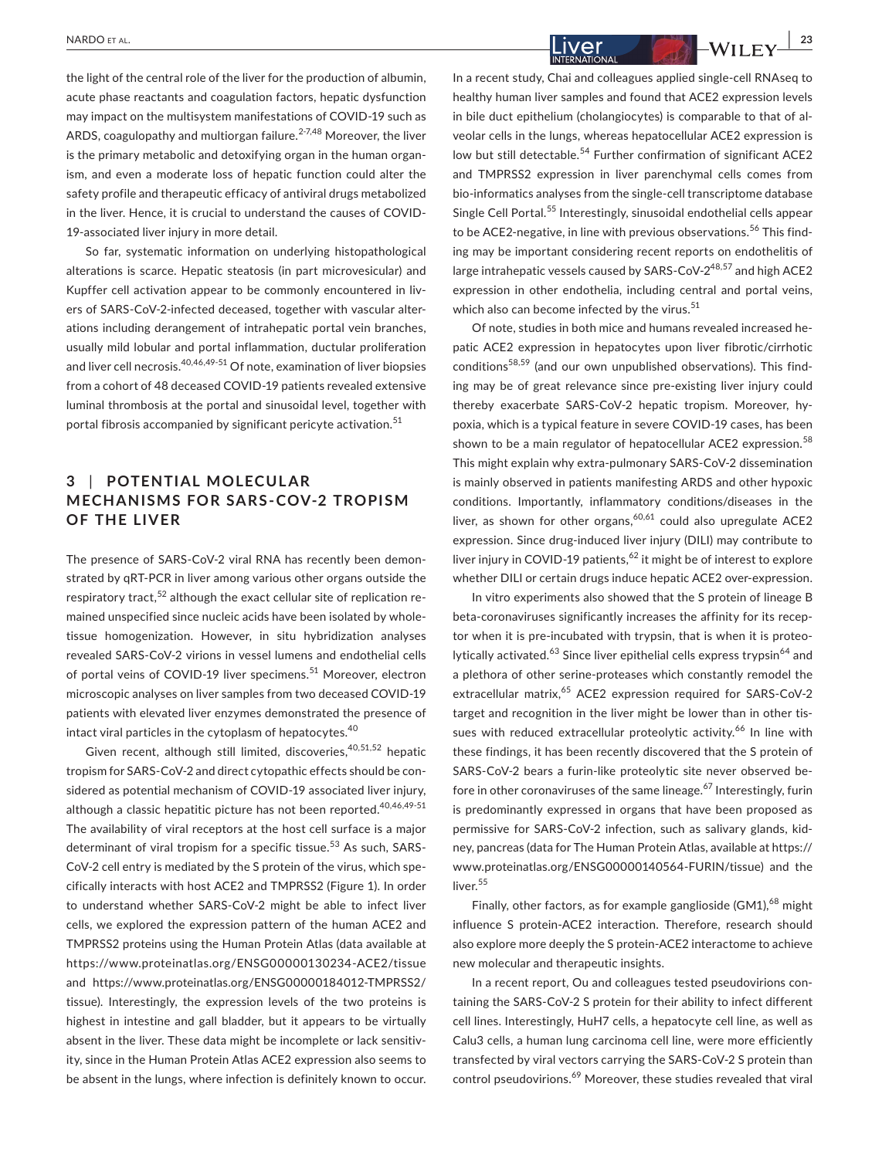the light of the central role of the liver for the production of albumin, acute phase reactants and coagulation factors, hepatic dysfunction may impact on the multisystem manifestations of COVID-19 such as ARDS, coagulopathy and multiorgan failure. $2-7,48$  Moreover, the liver is the primary metabolic and detoxifying organ in the human organism, and even a moderate loss of hepatic function could alter the safety profile and therapeutic efficacy of antiviral drugs metabolized in the liver. Hence, it is crucial to understand the causes of COVID-19-associated liver injury in more detail.

So far, systematic information on underlying histopathological alterations is scarce. Hepatic steatosis (in part microvesicular) and Kupffer cell activation appear to be commonly encountered in livers of SARS-CoV-2-infected deceased, together with vascular alterations including derangement of intrahepatic portal vein branches, usually mild lobular and portal inflammation, ductular proliferation and liver cell necrosis.<sup>40,46,49-51</sup> Of note, examination of liver biopsies from a cohort of 48 deceased COVID-19 patients revealed extensive luminal thrombosis at the portal and sinusoidal level, together with portal fibrosis accompanied by significant pericyte activation.<sup>51</sup>

## **3** | POTENTIAL MOLECULAR **MECHANISMS FOR SARS- COV-2 TROPISM OF THE LIVER**

The presence of SARS-CoV-2 viral RNA has recently been demonstrated by qRT-PCR in liver among various other organs outside the respiratory tract,<sup>52</sup> although the exact cellular site of replication remained unspecified since nucleic acids have been isolated by wholetissue homogenization. However, in situ hybridization analyses revealed SARS-CoV-2 virions in vessel lumens and endothelial cells of portal veins of COVID-19 liver specimens.<sup>51</sup> Moreover, electron microscopic analyses on liver samples from two deceased COVID-19 patients with elevated liver enzymes demonstrated the presence of intact viral particles in the cytoplasm of hepatocytes.<sup>40</sup>

Given recent, although still limited, discoveries,  $40,51,52$  hepatic tropism for SARS-CoV-2 and direct cytopathic effects should be considered as potential mechanism of COVID-19 associated liver injury, although a classic hepatitic picture has not been reported.  $40,46,49-51$ The availability of viral receptors at the host cell surface is a major determinant of viral tropism for a specific tissue.<sup>53</sup> As such, SARS-CoV-2 cell entry is mediated by the S protein of the virus, which specifically interacts with host ACE2 and TMPRSS2 (Figure 1). In order to understand whether SARS-CoV-2 might be able to infect liver cells, we explored the expression pattern of the human ACE2 and TMPRSS2 proteins using the Human Protein Atlas (data available at <https://www.proteinatlas.org/ENSG00000130234-ACE2/tissue> and [https://www.proteinatlas.org/ENSG00000184012-TMPRSS2/](https://www.proteinatlas.org/ENSG00000184012-TMPRSS2/tissue) [tissue\)](https://www.proteinatlas.org/ENSG00000184012-TMPRSS2/tissue). Interestingly, the expression levels of the two proteins is highest in intestine and gall bladder, but it appears to be virtually absent in the liver. These data might be incomplete or lack sensitivity, since in the Human Protein Atlas ACE2 expression also seems to be absent in the lungs, where infection is definitely known to occur. In a recent study, Chai and colleagues applied single-cell RNAseq to healthy human liver samples and found that ACE2 expression levels in bile duct epithelium (cholangiocytes) is comparable to that of alveolar cells in the lungs, whereas hepatocellular ACE2 expression is low but still detectable.<sup>54</sup> Further confirmation of significant ACE2 and TMPRSS2 expression in liver parenchymal cells comes from bio-informatics analyses from the single-cell transcriptome database Single Cell Portal.<sup>55</sup> Interestingly, sinusoidal endothelial cells appear to be ACE2-negative, in line with previous observations.<sup>56</sup> This finding may be important considering recent reports on endothelitis of large intrahepatic vessels caused by  $SARS-CoV-2^{48,57}$  and high ACE2 expression in other endothelia, including central and portal veins, which also can become infected by the virus. $51$ 

Of note, studies in both mice and humans revealed increased hepatic ACE2 expression in hepatocytes upon liver fibrotic/cirrhotic conditions<sup>58,59</sup> (and our own unpublished observations). This finding may be of great relevance since pre-existing liver injury could thereby exacerbate SARS-CoV-2 hepatic tropism. Moreover, hypoxia, which is a typical feature in severe COVID-19 cases, has been shown to be a main regulator of hepatocellular ACE2 expression.<sup>58</sup> This might explain why extra-pulmonary SARS-CoV-2 dissemination is mainly observed in patients manifesting ARDS and other hypoxic conditions. Importantly, inflammatory conditions/diseases in the liver, as shown for other organs,  $60,61$  could also upregulate ACE2 expression. Since drug-induced liver injury (DILI) may contribute to liver injury in COVID-19 patients,  $62$  it might be of interest to explore whether DILI or certain drugs induce hepatic ACE2 over-expression.

In vitro experiments also showed that the S protein of lineage B beta-coronaviruses significantly increases the affinity for its receptor when it is pre-incubated with trypsin, that is when it is proteo-Ivtically activated.<sup>63</sup> Since liver epithelial cells express trypsin<sup>64</sup> and a plethora of other serine-proteases which constantly remodel the extracellular matrix,<sup>65</sup> ACE2 expression required for SARS-CoV-2 target and recognition in the liver might be lower than in other tissues with reduced extracellular proteolytic activity.<sup>66</sup> In line with these findings, it has been recently discovered that the S protein of SARS-CoV-2 bears a furin-like proteolytic site never observed before in other coronaviruses of the same lineage.<sup>67</sup> Interestingly, furin is predominantly expressed in organs that have been proposed as permissive for SARS-CoV-2 infection, such as salivary glands, kidney, pancreas (data for The Human Protein Atlas, available at [https://](https://www.proteinatlas.org/ENSG00000140564-FURIN/tissue) [www.proteinatlas.org/ENSG00000140564-FURIN/tissue\)](https://www.proteinatlas.org/ENSG00000140564-FURIN/tissue) and the liver.<sup>55</sup>

Finally, other factors, as for example ganglioside  $(GM1)<sup>68</sup>$  might influence S protein-ACE2 interaction. Therefore, research should also explore more deeply the S protein-ACE2 interactome to achieve new molecular and therapeutic insights.

In a recent report, Ou and colleagues tested pseudovirions containing the SARS-CoV-2 S protein for their ability to infect different cell lines. Interestingly, HuH7 cells, a hepatocyte cell line, as well as Calu3 cells, a human lung carcinoma cell line, were more efficiently transfected by viral vectors carrying the SARS-CoV-2 S protein than control pseudovirions.<sup>69</sup> Moreover, these studies revealed that viral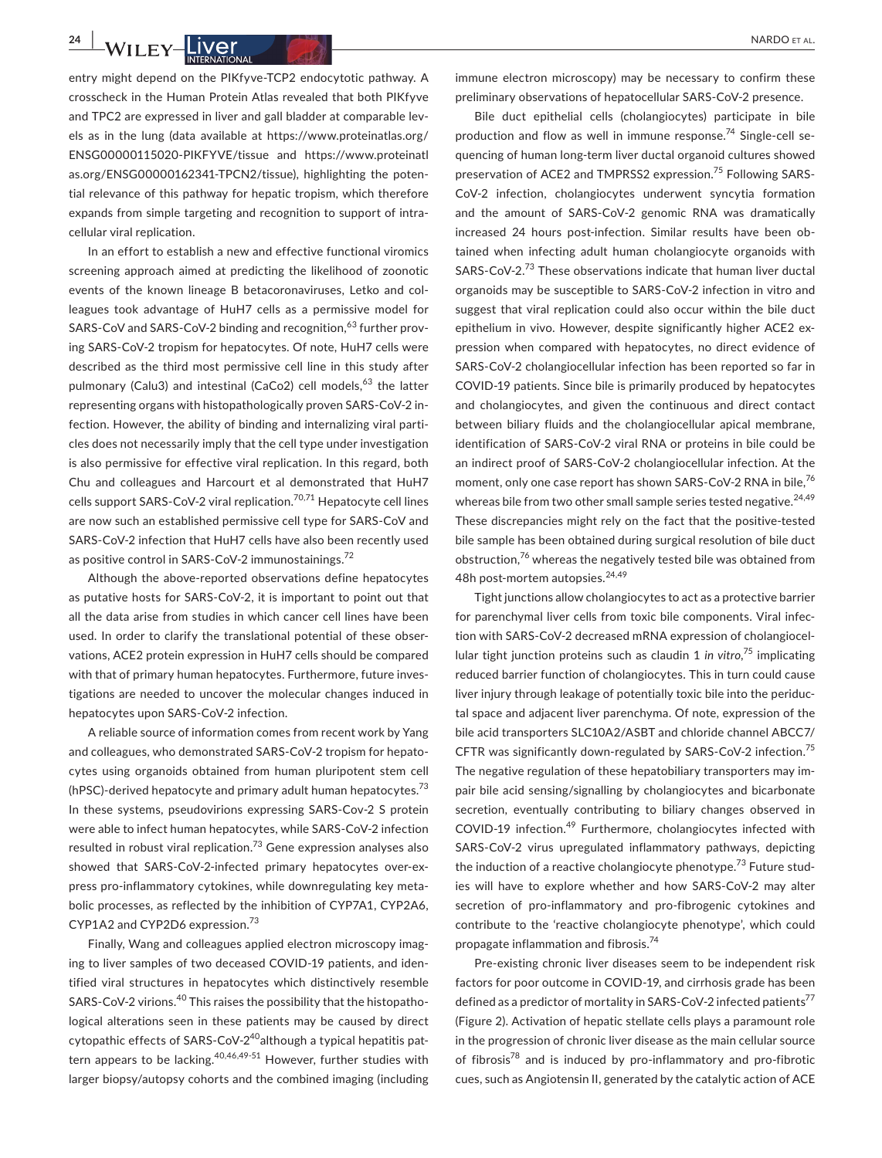entry might depend on the PIKfyve-TCP2 endocytotic pathway. A crosscheck in the Human Protein Atlas revealed that both PIKfyve and TPC2 are expressed in liver and gall bladder at comparable levels as in the lung (data available at [https://www.proteinatlas.org/](https://www.proteinatlas.org/ENSG00000115020-PIKFYVE/tissue) [ENSG00000115020-PIKFYVE/tissue](https://www.proteinatlas.org/ENSG00000115020-PIKFYVE/tissue) and [https://www.proteinatl](https://www.proteinatlas.org/ENSG00000162341-TPCN2/tissue) [as.org/ENSG00000162341-TPCN2/tissue\)](https://www.proteinatlas.org/ENSG00000162341-TPCN2/tissue), highlighting the potential relevance of this pathway for hepatic tropism, which therefore expands from simple targeting and recognition to support of intracellular viral replication.

In an effort to establish a new and effective functional viromics screening approach aimed at predicting the likelihood of zoonotic events of the known lineage B betacoronaviruses, Letko and colleagues took advantage of HuH7 cells as a permissive model for SARS-CoV and SARS-CoV-2 binding and recognition,<sup>63</sup> further proving SARS-CoV-2 tropism for hepatocytes. Of note, HuH7 cells were described as the third most permissive cell line in this study after pulmonary (Calu3) and intestinal (CaCo2) cell models,<sup>63</sup> the latter representing organs with histopathologically proven SARS-CoV-2 infection. However, the ability of binding and internalizing viral particles does not necessarily imply that the cell type under investigation is also permissive for effective viral replication. In this regard, both Chu and colleagues and Harcourt et al demonstrated that HuH7 cells support SARS-CoV-2 viral replication.<sup>70,71</sup> Hepatocyte cell lines are now such an established permissive cell type for SARS-CoV and SARS-CoV-2 infection that HuH7 cells have also been recently used as positive control in SARS-CoV-2 immunostainings.<sup>72</sup>

Although the above-reported observations define hepatocytes as putative hosts for SARS-CoV-2, it is important to point out that all the data arise from studies in which cancer cell lines have been used. In order to clarify the translational potential of these observations, ACE2 protein expression in HuH7 cells should be compared with that of primary human hepatocytes. Furthermore, future investigations are needed to uncover the molecular changes induced in hepatocytes upon SARS-CoV-2 infection.

A reliable source of information comes from recent work by Yang and colleagues, who demonstrated SARS-CoV-2 tropism for hepatocytes using organoids obtained from human pluripotent stem cell (hPSC)-derived hepatocyte and primary adult human hepatocytes.<sup>73</sup> In these systems, pseudovirions expressing SARS-Cov-2 S protein were able to infect human hepatocytes, while SARS-CoV-2 infection resulted in robust viral replication.<sup>73</sup> Gene expression analyses also showed that SARS-CoV-2-infected primary hepatocytes over-express pro-inflammatory cytokines, while downregulating key metabolic processes, as reflected by the inhibition of CYP7A1, CYP2A6, CYP1A2 and CYP2D6 expression.<sup>73</sup>

Finally, Wang and colleagues applied electron microscopy imaging to liver samples of two deceased COVID-19 patients, and identified viral structures in hepatocytes which distinctively resemble SARS-CoV-2 virions.<sup>40</sup> This raises the possibility that the histopathological alterations seen in these patients may be caused by direct cytopathic effects of SARS-CoV- $2^{40}$ although a typical hepatitis pattern appears to be lacking.  $40,46,49-51$  However, further studies with larger biopsy/autopsy cohorts and the combined imaging (including

immune electron microscopy) may be necessary to confirm these preliminary observations of hepatocellular SARS-CoV-2 presence.

Bile duct epithelial cells (cholangiocytes) participate in bile production and flow as well in immune response.<sup>74</sup> Single-cell sequencing of human long-term liver ductal organoid cultures showed preservation of ACE2 and TMPRSS2 expression.<sup>75</sup> Following SARS-CoV-2 infection, cholangiocytes underwent syncytia formation and the amount of SARS-CoV-2 genomic RNA was dramatically increased 24 hours post-infection. Similar results have been obtained when infecting adult human cholangiocyte organoids with SARS-CoV-2.73 These observations indicate that human liver ductal organoids may be susceptible to SARS-CoV-2 infection in vitro and suggest that viral replication could also occur within the bile duct epithelium in vivo. However, despite significantly higher ACE2 expression when compared with hepatocytes, no direct evidence of SARS-CoV-2 cholangiocellular infection has been reported so far in COVID-19 patients. Since bile is primarily produced by hepatocytes and cholangiocytes, and given the continuous and direct contact between biliary fluids and the cholangiocellular apical membrane, identification of SARS-CoV-2 viral RNA or proteins in bile could be an indirect proof of SARS-CoV-2 cholangiocellular infection. At the moment, only one case report has shown SARS-CoV-2 RNA in bile,<sup>76</sup> whereas bile from two other small sample series tested negative.<sup>24,49</sup> These discrepancies might rely on the fact that the positive-tested bile sample has been obtained during surgical resolution of bile duct obstruction,<sup>76</sup> whereas the negatively tested bile was obtained from 48h post-mortem autopsies.<sup>24,49</sup>

Tight junctions allow cholangiocytes to act as a protective barrier for parenchymal liver cells from toxic bile components. Viral infection with SARS-CoV-2 decreased mRNA expression of cholangiocellular tight junction proteins such as claudin 1 *in vitro*, <sup>75</sup> implicating reduced barrier function of cholangiocytes. This in turn could cause liver injury through leakage of potentially toxic bile into the periductal space and adjacent liver parenchyma. Of note, expression of the bile acid transporters SLC10A2/ASBT and chloride channel ABCC7/ CFTR was significantly down-regulated by SARS-CoV-2 infection.<sup>75</sup> The negative regulation of these hepatobiliary transporters may impair bile acid sensing/signalling by cholangiocytes and bicarbonate secretion, eventually contributing to biliary changes observed in COVID-19 infection.<sup>49</sup> Furthermore, cholangiocytes infected with SARS-CoV-2 virus upregulated inflammatory pathways, depicting the induction of a reactive cholangiocyte phenotype.<sup>73</sup> Future studies will have to explore whether and how SARS-CoV-2 may alter secretion of pro-inflammatory and pro-fibrogenic cytokines and contribute to the 'reactive cholangiocyte phenotype', which could propagate inflammation and fibrosis.74

Pre-existing chronic liver diseases seem to be independent risk factors for poor outcome in COVID-19, and cirrhosis grade has been defined as a predictor of mortality in SARS-CoV-2 infected patients<sup>77</sup> (Figure 2). Activation of hepatic stellate cells plays a paramount role in the progression of chronic liver disease as the main cellular source of fibrosis $78$  and is induced by pro-inflammatory and pro-fibrotic cues, such as Angiotensin II, generated by the catalytic action of ACE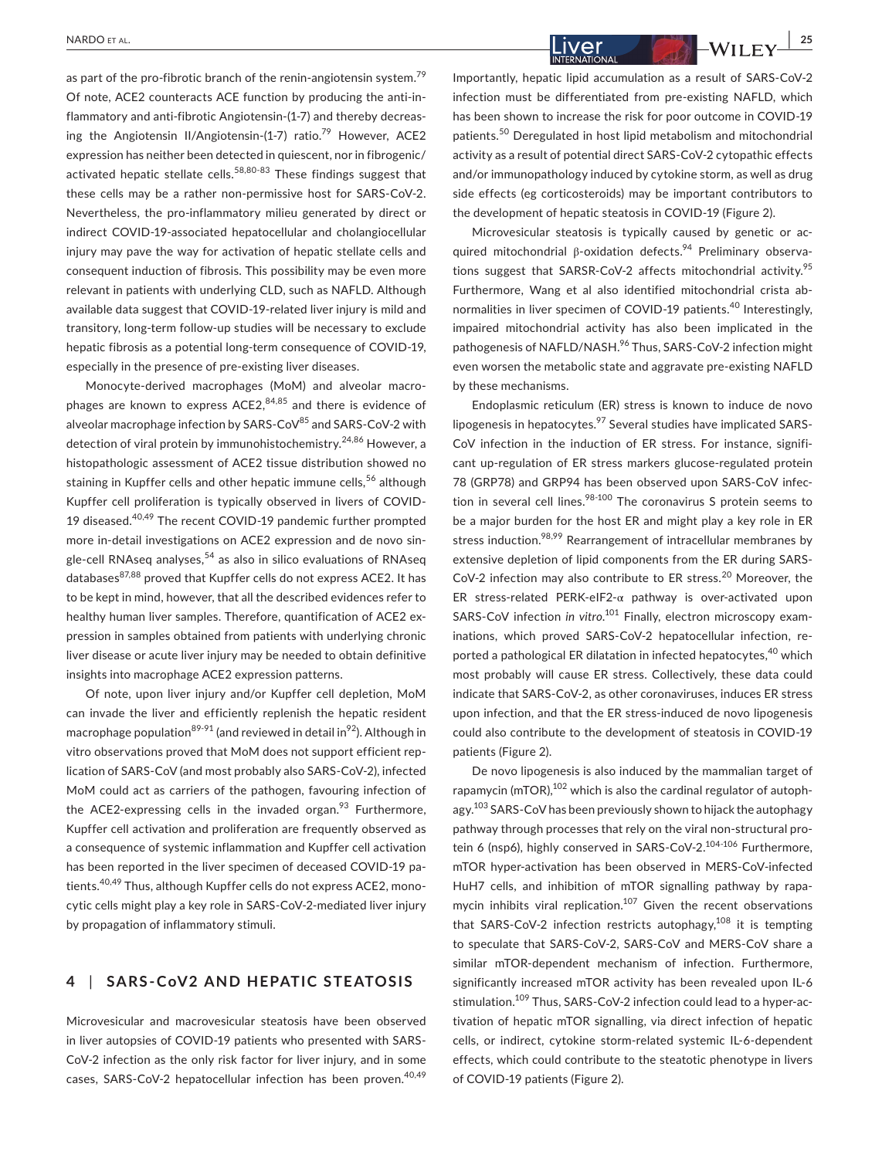as part of the pro-fibrotic branch of the renin-angiotensin system.<sup>79</sup> Of note, ACE2 counteracts ACE function by producing the anti-inflammatory and anti-fibrotic Angiotensin-(1-7) and thereby decreasing the Angiotensin II/Angiotensin-(1-7) ratio.<sup>79</sup> However, ACE2 expression has neither been detected in quiescent, nor in fibrogenic/ activated hepatic stellate cells.<sup>58,80-83</sup> These findings suggest that these cells may be a rather non-permissive host for SARS-CoV-2. Nevertheless, the pro-inflammatory milieu generated by direct or indirect COVID-19-associated hepatocellular and cholangiocellular injury may pave the way for activation of hepatic stellate cells and consequent induction of fibrosis. This possibility may be even more relevant in patients with underlying CLD, such as NAFLD. Although available data suggest that COVID-19-related liver injury is mild and transitory, long-term follow-up studies will be necessary to exclude hepatic fibrosis as a potential long-term consequence of COVID-19, especially in the presence of pre-existing liver diseases.

Monocyte-derived macrophages (MoM) and alveolar macrophages are known to express  $ACE2$ ,  $84,85$  and there is evidence of alveolar macrophage infection by SARS-CoV<sup>85</sup> and SARS-CoV-2 with detection of viral protein by immunohistochemistry.<sup>24,86</sup> However, a histopathologic assessment of ACE2 tissue distribution showed no staining in Kupffer cells and other hepatic immune cells,<sup>56</sup> although Kupffer cell proliferation is typically observed in livers of COVID-19 diseased.40,49 The recent COVID-19 pandemic further prompted more in-detail investigations on ACE2 expression and de novo single-cell RNAseq analyses,<sup>54</sup> as also in silico evaluations of RNAseq databases<sup>87,88</sup> proved that Kupffer cells do not express ACE2. It has to be kept in mind, however, that all the described evidences refer to healthy human liver samples. Therefore, quantification of ACE2 expression in samples obtained from patients with underlying chronic liver disease or acute liver injury may be needed to obtain definitive insights into macrophage ACE2 expression patterns.

Of note, upon liver injury and/or Kupffer cell depletion, MoM can invade the liver and efficiently replenish the hepatic resident macrophage population<sup>89-91</sup> (and reviewed in detail in<sup>92</sup>). Although in vitro observations proved that MoM does not support efficient replication of SARS-CoV (and most probably also SARS-CoV-2), infected MoM could act as carriers of the pathogen, favouring infection of the ACE2-expressing cells in the invaded organ. $93$  Furthermore, Kupffer cell activation and proliferation are frequently observed as a consequence of systemic inflammation and Kupffer cell activation has been reported in the liver specimen of deceased COVID-19 patients.<sup>40,49</sup> Thus, although Kupffer cells do not express ACE2, monocytic cells might play a key role in SARS-CoV-2-mediated liver injury by propagation of inflammatory stimuli.

## **4** | **SARS-CoV2 AND HEPATIC STEATOSIS**

Microvesicular and macrovesicular steatosis have been observed in liver autopsies of COVID-19 patients who presented with SARS-CoV-2 infection as the only risk factor for liver injury, and in some cases, SARS-CoV-2 hepatocellular infection has been proven.<sup>40,49</sup>

Microvesicular steatosis is typically caused by genetic or acquired mitochondrial β-oxidation defects.<sup>94</sup> Preliminary observations suggest that SARSR-CoV-2 affects mitochondrial activity.<sup>95</sup> Furthermore, Wang et al also identified mitochondrial crista abnormalities in liver specimen of COVID-19 patients.<sup>40</sup> Interestingly, impaired mitochondrial activity has also been implicated in the pathogenesis of NAFLD/NASH.<sup>96</sup> Thus, SARS-CoV-2 infection might even worsen the metabolic state and aggravate pre-existing NAFLD by these mechanisms.

Endoplasmic reticulum (ER) stress is known to induce de novo lipogenesis in hepatocytes.<sup>97</sup> Several studies have implicated SARS-CoV infection in the induction of ER stress. For instance, significant up-regulation of ER stress markers glucose-regulated protein 78 (GRP78) and GRP94 has been observed upon SARS-CoV infection in several cell lines. $98-100$  The coronavirus S protein seems to be a major burden for the host ER and might play a key role in ER stress induction.<sup>98,99</sup> Rearrangement of intracellular membranes by extensive depletion of lipid components from the ER during SARS-CoV-2 infection may also contribute to ER stress.<sup>20</sup> Moreover, the ER stress-related PERK-eIF2-α pathway is over-activated upon SARS-CoV infection in vitro.<sup>101</sup> Finally, electron microscopy examinations, which proved SARS-CoV-2 hepatocellular infection, reported a pathological ER dilatation in infected hepatocytes,<sup>40</sup> which most probably will cause ER stress. Collectively, these data could indicate that SARS-CoV-2, as other coronaviruses, induces ER stress upon infection, and that the ER stress-induced de novo lipogenesis could also contribute to the development of steatosis in COVID-19 patients (Figure 2).

De novo lipogenesis is also induced by the mammalian target of rapamycin (mTOR),<sup>102</sup> which is also the cardinal regulator of autophagy.<sup>103</sup> SARS-CoV has been previously shown to hijack the autophagy pathway through processes that rely on the viral non-structural protein 6 (nsp6), highly conserved in SARS-CoV-2.<sup>104-106</sup> Furthermore, mTOR hyper-activation has been observed in MERS-CoV-infected HuH7 cells, and inhibition of mTOR signalling pathway by rapamycin inhibits viral replication.<sup>107</sup> Given the recent observations that SARS-CoV-2 infection restricts autophagy, $108$  it is tempting to speculate that SARS-CoV-2, SARS-CoV and MERS-CoV share a similar mTOR-dependent mechanism of infection. Furthermore, significantly increased mTOR activity has been revealed upon IL-6 stimulation.<sup>109</sup> Thus, SARS-CoV-2 infection could lead to a hyper-activation of hepatic mTOR signalling, via direct infection of hepatic cells, or indirect, cytokine storm-related systemic IL-6-dependent effects, which could contribute to the steatotic phenotype in livers of COVID-19 patients (Figure 2).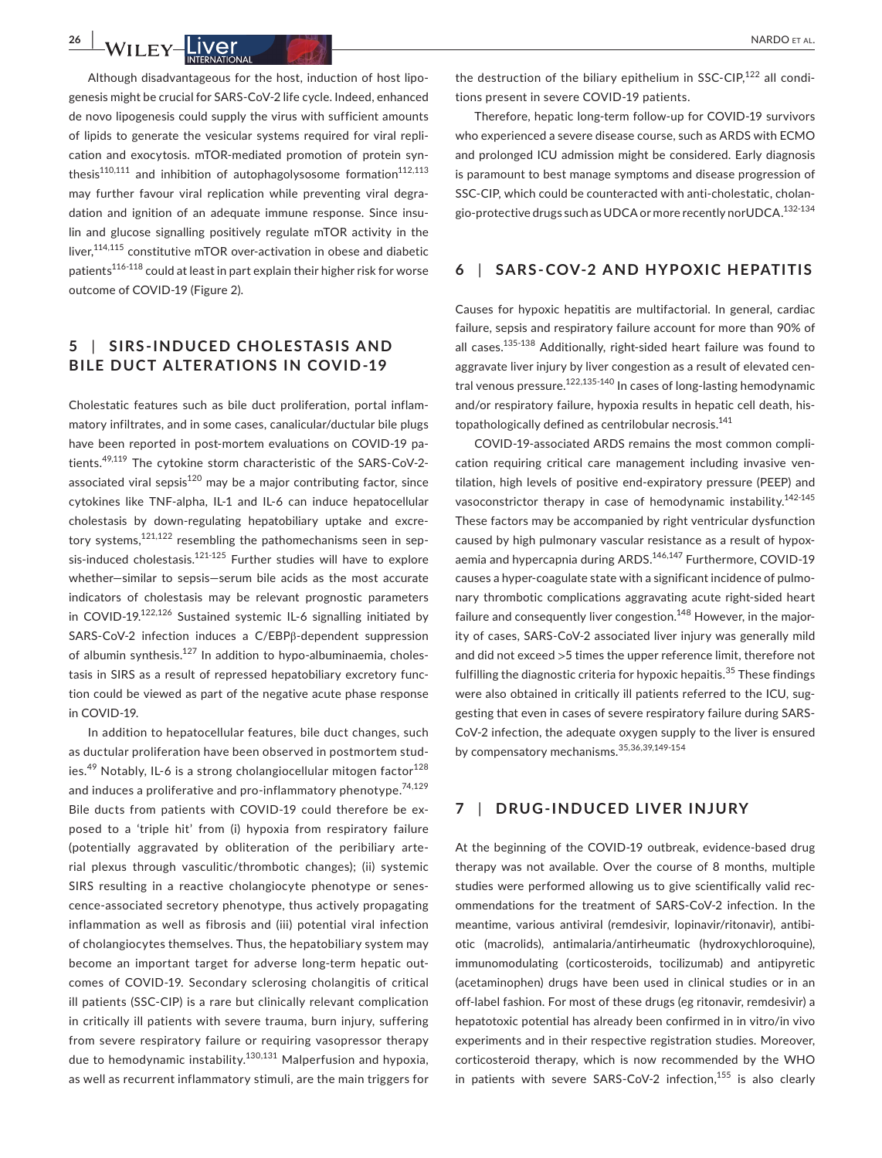Although disadvantageous for the host, induction of host lipogenesis might be crucial for SARS-CoV-2 life cycle. Indeed, enhanced de novo lipogenesis could supply the virus with sufficient amounts of lipids to generate the vesicular systems required for viral repli-

cation and exocytosis. mTOR-mediated promotion of protein synthesis<sup>110,111</sup> and inhibition of autophagolysosome formation<sup>112,113</sup> may further favour viral replication while preventing viral degradation and ignition of an adequate immune response. Since insulin and glucose signalling positively regulate mTOR activity in the liver, <sup>114,115</sup> constitutive mTOR over-activation in obese and diabetic patients116-118 could at least in part explain their higher risk for worse outcome of COVID-19 (Figure 2).

## **5** | **SIRS-INDUCED CHOLESTA SIS AND BILE DUCT ALTER ATIONS IN COVID-19**

Cholestatic features such as bile duct proliferation, portal inflammatory infiltrates, and in some cases, canalicular/ductular bile plugs have been reported in post-mortem evaluations on COVID-19 patients.49,119 The cytokine storm characteristic of the SARS-CoV-2 associated viral sepsis<sup>120</sup> may be a major contributing factor, since cytokines like TNF-alpha, IL-1 and IL-6 can induce hepatocellular cholestasis by down-regulating hepatobiliary uptake and excretory systems,<sup>121,122</sup> resembling the pathomechanisms seen in sepsis-induced cholestasis.<sup>121-125</sup> Further studies will have to explore whether—similar to sepsis—serum bile acids as the most accurate indicators of cholestasis may be relevant prognostic parameters in COVID-19.<sup>122,126</sup> Sustained systemic IL-6 signalling initiated by SARS-CoV-2 infection induces a C/EBPβ-dependent suppression of albumin synthesis.127 In addition to hypo-albuminaemia, cholestasis in SIRS as a result of repressed hepatobiliary excretory function could be viewed as part of the negative acute phase response in COVID-19.

In addition to hepatocellular features, bile duct changes, such as ductular proliferation have been observed in postmortem studies.<sup>49</sup> Notably, IL-6 is a strong cholangiocellular mitogen factor $128$ and induces a proliferative and pro-inflammatory phenotype.<sup>74,129</sup> Bile ducts from patients with COVID-19 could therefore be exposed to a 'triple hit' from (i) hypoxia from respiratory failure (potentially aggravated by obliteration of the peribiliary arterial plexus through vasculitic/thrombotic changes); (ii) systemic SIRS resulting in a reactive cholangiocyte phenotype or senescence-associated secretory phenotype, thus actively propagating inflammation as well as fibrosis and (iii) potential viral infection of cholangiocytes themselves. Thus, the hepatobiliary system may become an important target for adverse long-term hepatic outcomes of COVID-19. Secondary sclerosing cholangitis of critical ill patients (SSC-CIP) is a rare but clinically relevant complication in critically ill patients with severe trauma, burn injury, suffering from severe respiratory failure or requiring vasopressor therapy due to hemodynamic instability.<sup>130,131</sup> Malperfusion and hypoxia, as well as recurrent inflammatory stimuli, are the main triggers for the destruction of the biliary epithelium in SSC-CIP.<sup>122</sup> all conditions present in severe COVID-19 patients.

Therefore, hepatic long-term follow-up for COVID-19 survivors who experienced a severe disease course, such as ARDS with ECMO and prolonged ICU admission might be considered. Early diagnosis is paramount to best manage symptoms and disease progression of SSC-CIP, which could be counteracted with anti-cholestatic, cholangio-protective drugs such as UDCA or more recently norUDCA.<sup>132-134</sup>

#### **6** | **SARS-COV-2 AND HYPOXIC HEPATITIS**

Causes for hypoxic hepatitis are multifactorial. In general, cardiac failure, sepsis and respiratory failure account for more than 90% of all cases.<sup>135-138</sup> Additionally, right-sided heart failure was found to aggravate liver injury by liver congestion as a result of elevated central venous pressure.<sup>122,135-140</sup> In cases of long-lasting hemodynamic and/or respiratory failure, hypoxia results in hepatic cell death, histopathologically defined as centrilobular necrosis.<sup>141</sup>

COVID-19-associated ARDS remains the most common complication requiring critical care management including invasive ventilation, high levels of positive end-expiratory pressure (PEEP) and vasoconstrictor therapy in case of hemodynamic instability.<sup>142-145</sup> These factors may be accompanied by right ventricular dysfunction caused by high pulmonary vascular resistance as a result of hypoxaemia and hypercapnia during ARDS.<sup>146,147</sup> Furthermore, COVID-19 causes a hyper-coagulate state with a significant incidence of pulmonary thrombotic complications aggravating acute right-sided heart failure and consequently liver congestion.<sup>148</sup> However, in the majority of cases, SARS-CoV-2 associated liver injury was generally mild and did not exceed >5 times the upper reference limit, therefore not fulfilling the diagnostic criteria for hypoxic hepaitis.<sup>35</sup> These findings were also obtained in critically ill patients referred to the ICU, suggesting that even in cases of severe respiratory failure during SARS-CoV-2 infection, the adequate oxygen supply to the liver is ensured by compensatory mechanisms.35,36,39,149-154

## **7** | **DRUG-INDUCED LIVER INJURY**

At the beginning of the COVID-19 outbreak, evidence-based drug therapy was not available. Over the course of 8 months, multiple studies were performed allowing us to give scientifically valid recommendations for the treatment of SARS-CoV-2 infection. In the meantime, various antiviral (remdesivir, lopinavir/ritonavir), antibiotic (macrolids), antimalaria/antirheumatic (hydroxychloroquine), immunomodulating (corticosteroids, tocilizumab) and antipyretic (acetaminophen) drugs have been used in clinical studies or in an off-label fashion. For most of these drugs (eg ritonavir, remdesivir) a hepatotoxic potential has already been confirmed in in vitro/in vivo experiments and in their respective registration studies. Moreover, corticosteroid therapy, which is now recommended by the WHO in patients with severe SARS-CoV-2 infection, $155$  is also clearly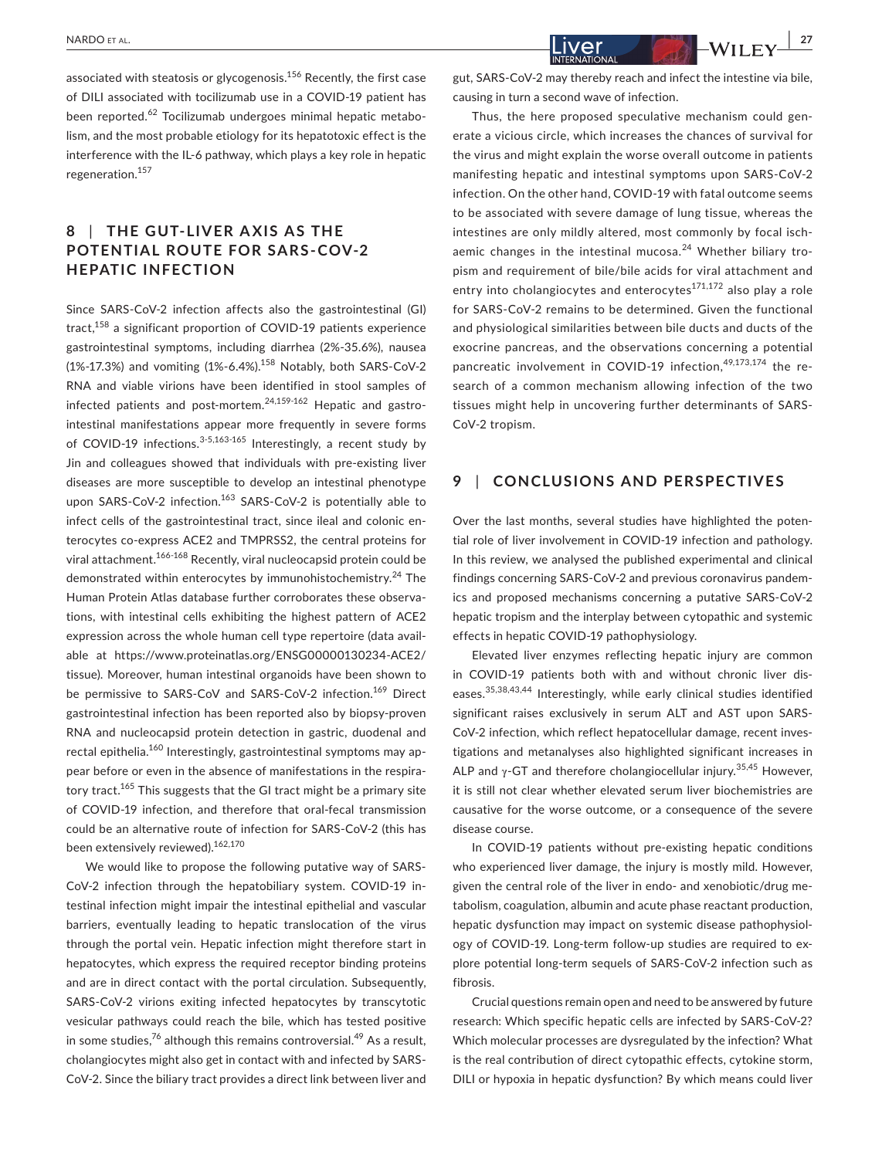associated with steatosis or glycogenosis.156 Recently, the first case of DILI associated with tocilizumab use in a COVID-19 patient has been reported.<sup>62</sup> Tocilizumab undergoes minimal hepatic metabolism, and the most probable etiology for its hepatotoxic effect is the interference with the IL-6 pathway, which plays a key role in hepatic regeneration.<sup>157</sup>

## **8** | THE GUT-LIVER AXIS AS THE **POTENTIAL ROUTE FOR SARS-COV-2 HEPATIC INFECTION**

Since SARS-CoV-2 infection affects also the gastrointestinal (GI) tract,<sup>158</sup> a significant proportion of COVID-19 patients experience gastrointestinal symptoms, including diarrhea (2%-35.6%), nausea  $(1\% -17.3\%)$  and vomiting  $(1\% -6.4\%)$ <sup>158</sup> Notably, both SARS-CoV-2 RNA and viable virions have been identified in stool samples of infected patients and post-mortem. $24,159.162$  Hepatic and gastrointestinal manifestations appear more frequently in severe forms of COVID-19 infections.<sup>3-5,163-165</sup> Interestingly, a recent study by Jin and colleagues showed that individuals with pre-existing liver diseases are more susceptible to develop an intestinal phenotype upon SARS-CoV-2 infection.<sup>163</sup> SARS-CoV-2 is potentially able to infect cells of the gastrointestinal tract, since ileal and colonic enterocytes co-express ACE2 and TMPRSS2, the central proteins for viral attachment.166-168 Recently, viral nucleocapsid protein could be demonstrated within enterocytes by immunohistochemistry.<sup>24</sup> The Human Protein Atlas database further corroborates these observations, with intestinal cells exhibiting the highest pattern of ACE2 expression across the whole human cell type repertoire (data available at [https://www.proteinatlas.org/ENSG00000130234-ACE2/](https://www.proteinatlas.org/ENSG00000130234-ACE2/tissue) [tissue\)](https://www.proteinatlas.org/ENSG00000130234-ACE2/tissue). Moreover, human intestinal organoids have been shown to be permissive to SARS-CoV and SARS-CoV-2 infection.<sup>169</sup> Direct gastrointestinal infection has been reported also by biopsy-proven RNA and nucleocapsid protein detection in gastric, duodenal and rectal epithelia.<sup>160</sup> Interestingly, gastrointestinal symptoms may appear before or even in the absence of manifestations in the respiratory tract.<sup>165</sup> This suggests that the GI tract might be a primary site of COVID-19 infection, and therefore that oral-fecal transmission could be an alternative route of infection for SARS-CoV-2 (this has been extensively reviewed).<sup>162,170</sup>

We would like to propose the following putative way of SARS-CoV-2 infection through the hepatobiliary system. COVID-19 intestinal infection might impair the intestinal epithelial and vascular barriers, eventually leading to hepatic translocation of the virus through the portal vein. Hepatic infection might therefore start in hepatocytes, which express the required receptor binding proteins and are in direct contact with the portal circulation. Subsequently, SARS-CoV-2 virions exiting infected hepatocytes by transcytotic vesicular pathways could reach the bile, which has tested positive in some studies,<sup>76</sup> although this remains controversial.<sup>49</sup> As a result, cholangiocytes might also get in contact with and infected by SARS-CoV-2. Since the biliary tract provides a direct link between liver and

gut, SARS-CoV-2 may thereby reach and infect the intestine via bile, causing in turn a second wave of infection.

Thus, the here proposed speculative mechanism could generate a vicious circle, which increases the chances of survival for the virus and might explain the worse overall outcome in patients manifesting hepatic and intestinal symptoms upon SARS-CoV-2 infection. On the other hand, COVID-19 with fatal outcome seems to be associated with severe damage of lung tissue, whereas the intestines are only mildly altered, most commonly by focal ischaemic changes in the intestinal mucosa. $24$  Whether biliary tropism and requirement of bile/bile acids for viral attachment and entry into cholangiocytes and enterocytes $171,172$  also play a role for SARS-CoV-2 remains to be determined. Given the functional and physiological similarities between bile ducts and ducts of the exocrine pancreas, and the observations concerning a potential pancreatic involvement in COVID-19 infection.<sup>49,173,174</sup> the research of a common mechanism allowing infection of the two tissues might help in uncovering further determinants of SARS-CoV-2 tropism.

## **9** | **CONCLUSIONS AND PERSPECTIVES**

Over the last months, several studies have highlighted the potential role of liver involvement in COVID-19 infection and pathology. In this review, we analysed the published experimental and clinical findings concerning SARS-CoV-2 and previous coronavirus pandemics and proposed mechanisms concerning a putative SARS-CoV-2 hepatic tropism and the interplay between cytopathic and systemic effects in hepatic COVID-19 pathophysiology.

Elevated liver enzymes reflecting hepatic injury are common in COVID-19 patients both with and without chronic liver diseases.35,38,43,44 Interestingly, while early clinical studies identified significant raises exclusively in serum ALT and AST upon SARS-CoV-2 infection, which reflect hepatocellular damage, recent investigations and metanalyses also highlighted significant increases in ALP and  $\gamma$ -GT and therefore cholangiocellular injury.<sup>35,45</sup> However, it is still not clear whether elevated serum liver biochemistries are causative for the worse outcome, or a consequence of the severe disease course.

In COVID-19 patients without pre-existing hepatic conditions who experienced liver damage, the injury is mostly mild. However, given the central role of the liver in endo- and xenobiotic/drug metabolism, coagulation, albumin and acute phase reactant production, hepatic dysfunction may impact on systemic disease pathophysiology of COVID-19. Long-term follow-up studies are required to explore potential long-term sequels of SARS-CoV-2 infection such as fibrosis.

Crucial questions remain open and need to be answered by future research: Which specific hepatic cells are infected by SARS-CoV-2? Which molecular processes are dysregulated by the infection? What is the real contribution of direct cytopathic effects, cytokine storm, DILI or hypoxia in hepatic dysfunction? By which means could liver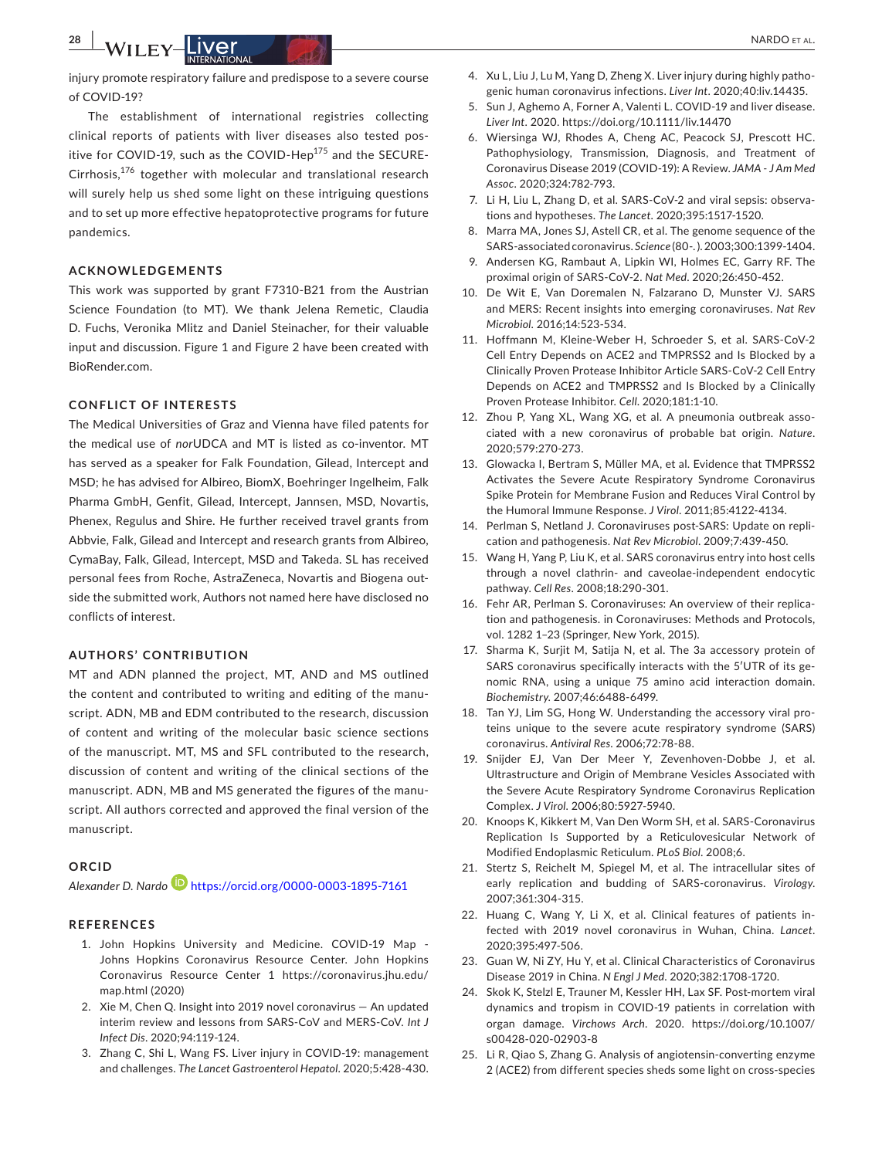injury promote respiratory failure and predispose to a severe course of COVID-19?

The establishment of international registries collecting clinical reports of patients with liver diseases also tested positive for COVID-19, such as the COVID-Hep $175$  and the SECURE-Cirrhosis,176 together with molecular and translational research will surely help us shed some light on these intriguing questions and to set up more effective hepatoprotective programs for future pandemics.

#### **ACKNOWLEDGEMENTS**

This work was supported by grant F7310-B21 from the Austrian Science Foundation (to MT). We thank Jelena Remetic, Claudia D. Fuchs, Veronika Mlitz and Daniel Steinacher, for their valuable input and discussion. Figure 1 and Figure 2 have been created with BioRender.com.

#### **CONFLICT OF INTERESTS**

The Medical Universities of Graz and Vienna have filed patents for the medical use of *nor*UDCA and MT is listed as co-inventor. MT has served as a speaker for Falk Foundation, Gilead, Intercept and MSD; he has advised for Albireo, BiomX, Boehringer Ingelheim, Falk Pharma GmbH, Genfit, Gilead, Intercept, Jannsen, MSD, Novartis, Phenex, Regulus and Shire. He further received travel grants from Abbvie, Falk, Gilead and Intercept and research grants from Albireo, CymaBay, Falk, Gilead, Intercept, MSD and Takeda. SL has received personal fees from Roche, AstraZeneca, Novartis and Biogena outside the submitted work, Authors not named here have disclosed no conflicts of interest.

#### **AUTHORS' CONTRIBUTION**

MT and ADN planned the project, MT, AND and MS outlined the content and contributed to writing and editing of the manuscript. ADN, MB and EDM contributed to the research, discussion of content and writing of the molecular basic science sections of the manuscript. MT, MS and SFL contributed to the research, discussion of content and writing of the clinical sections of the manuscript. ADN, MB and MS generated the figures of the manuscript. All authors corrected and approved the final version of the manuscript.

#### **ORCID**

*Alexander D. Nard[o](https://orcid.org/0000-0003-1895-7161)* <https://orcid.org/0000-0003-1895-7161>

#### **REFERENCES**

- 1. John Hopkins University and Medicine. COVID-19 Map Johns Hopkins Coronavirus Resource Center. John Hopkins Coronavirus Resource Center 1 [https://coronavirus.jhu.edu/](https://coronavirus.jhu.edu/map.html) [map.html](https://coronavirus.jhu.edu/map.html) (2020)
- 2. Xie M, Chen Q. Insight into 2019 novel coronavirus An updated interim review and lessons from SARS-CoV and MERS-CoV. *Int J Infect Dis*. 2020;94:119-124.
- 3. Zhang C, Shi L, Wang FS. Liver injury in COVID-19: management and challenges. *The Lancet Gastroenterol Hepatol*. 2020;5:428-430.
- 4. Xu L, Liu J, Lu M, Yang D, Zheng X. Liver injury during highly pathogenic human coronavirus infections. *Liver Int*. 2020;40:liv.14435.
- 5. Sun J, Aghemo A, Forner A, Valenti L. COVID-19 and liver disease. *Liver Int*. 2020. <https://doi.org/10.1111/liv.14470>
- 6. Wiersinga WJ, Rhodes A, Cheng AC, Peacock SJ, Prescott HC. Pathophysiology, Transmission, Diagnosis, and Treatment of Coronavirus Disease 2019 (COVID-19): A Review. *JAMA - J Am Med Assoc*. 2020;324:782-793.
- 7. Li H, Liu L, Zhang D, et al. SARS-CoV-2 and viral sepsis: observations and hypotheses. *The Lancet*. 2020;395:1517-1520.
- 8. Marra MA, Jones SJ, Astell CR, et al. The genome sequence of the SARS-associated coronavirus. *Science* (80-. ). 2003;300:1399-1404.
- 9. Andersen KG, Rambaut A, Lipkin WI, Holmes EC, Garry RF. The proximal origin of SARS-CoV-2. *Nat Med*. 2020;26:450-452.
- 10. De Wit E, Van Doremalen N, Falzarano D, Munster VJ. SARS and MERS: Recent insights into emerging coronaviruses. *Nat Rev Microbiol*. 2016;14:523-534.
- 11. Hoffmann M, Kleine-Weber H, Schroeder S, et al. SARS-CoV-2 Cell Entry Depends on ACE2 and TMPRSS2 and Is Blocked by a Clinically Proven Protease Inhibitor Article SARS-CoV-2 Cell Entry Depends on ACE2 and TMPRSS2 and Is Blocked by a Clinically Proven Protease Inhibitor. *Cell*. 2020;181:1-10.
- 12. Zhou P, Yang XL, Wang XG, et al. A pneumonia outbreak associated with a new coronavirus of probable bat origin. *Nature*. 2020;579:270-273.
- 13. Glowacka I, Bertram S, Müller MA, et al. Evidence that TMPRSS2 Activates the Severe Acute Respiratory Syndrome Coronavirus Spike Protein for Membrane Fusion and Reduces Viral Control by the Humoral Immune Response. *J Virol*. 2011;85:4122-4134.
- 14. Perlman S, Netland J. Coronaviruses post-SARS: Update on replication and pathogenesis. *Nat Rev Microbiol*. 2009;7:439-450.
- 15. Wang H, Yang P, Liu K, et al. SARS coronavirus entry into host cells through a novel clathrin- and caveolae-independent endocytic pathway. *Cell Res*. 2008;18:290-301.
- 16. Fehr AR, Perlman S. Coronaviruses: An overview of their replication and pathogenesis. in Coronaviruses: Methods and Protocols, vol. 1282 1–23 (Springer, New York, 2015).
- 17. Sharma K, Surjit M, Satija N, et al. The 3a accessory protein of SARS coronavirus specifically interacts with the 5′UTR of its genomic RNA, using a unique 75 amino acid interaction domain. *Biochemistry*. 2007;46:6488-6499.
- 18. Tan YJ, Lim SG, Hong W. Understanding the accessory viral proteins unique to the severe acute respiratory syndrome (SARS) coronavirus. *Antiviral Res*. 2006;72:78-88.
- 19. Snijder EJ, Van Der Meer Y, Zevenhoven-Dobbe J, et al. Ultrastructure and Origin of Membrane Vesicles Associated with the Severe Acute Respiratory Syndrome Coronavirus Replication Complex. *J Virol*. 2006;80:5927-5940.
- 20. Knoops K, Kikkert M, Van Den Worm SH, et al. SARS-Coronavirus Replication Is Supported by a Reticulovesicular Network of Modified Endoplasmic Reticulum. *PLoS Biol*. 2008;6.
- 21. Stertz S, Reichelt M, Spiegel M, et al. The intracellular sites of early replication and budding of SARS-coronavirus. *Virology*. 2007;361:304-315.
- 22. Huang C, Wang Y, Li X, et al. Clinical features of patients infected with 2019 novel coronavirus in Wuhan, China. *Lancet*. 2020;395:497-506.
- 23. Guan W, Ni ZY, Hu Y, et al. Clinical Characteristics of Coronavirus Disease 2019 in China. *N Engl J Med*. 2020;382:1708-1720.
- 24. Skok K, Stelzl E, Trauner M, Kessler HH, Lax SF. Post-mortem viral dynamics and tropism in COVID-19 patients in correlation with organ damage. *Virchows Arch*. 2020. [https://doi.org/10.1007/](https://doi.org/10.1007/s00428-020-02903-8) [s00428-020-02903-8](https://doi.org/10.1007/s00428-020-02903-8)
- 25. Li R, Qiao S, Zhang G. Analysis of angiotensin-converting enzyme 2 (ACE2) from different species sheds some light on cross-species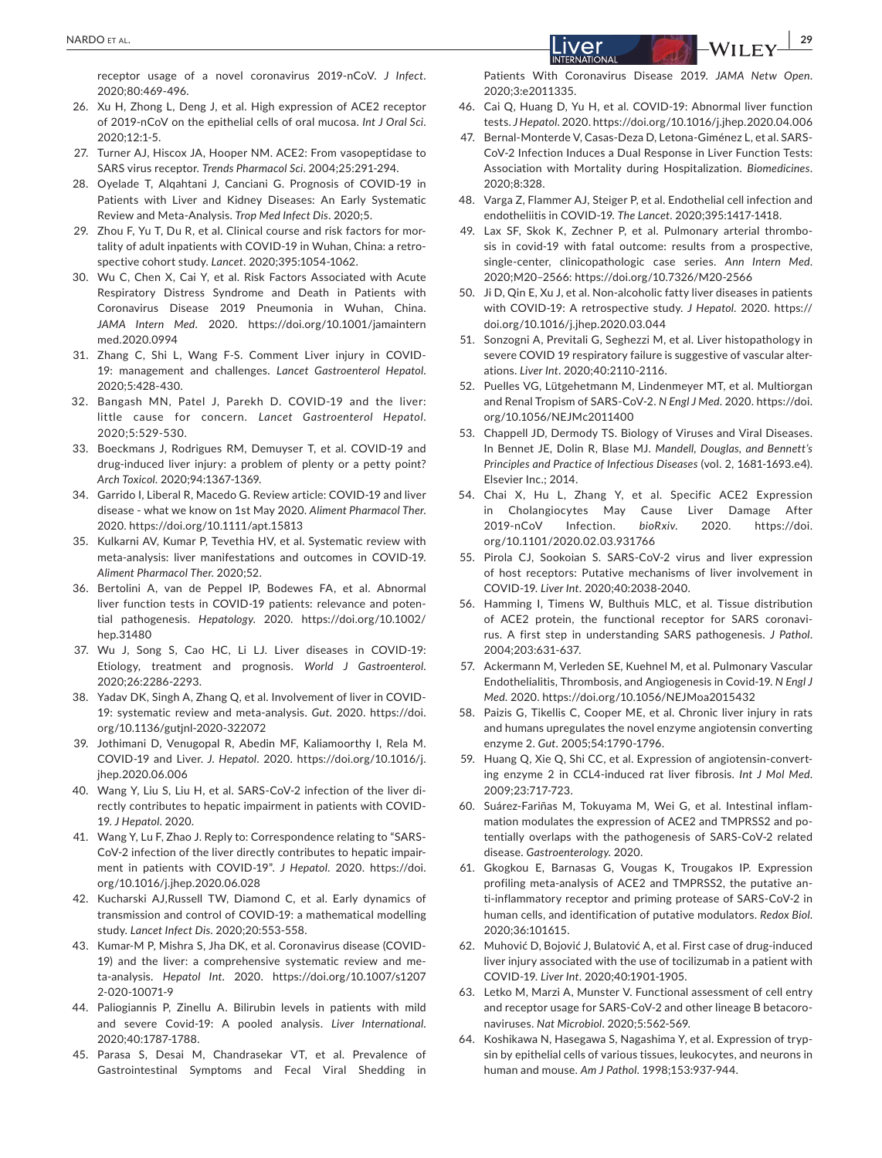receptor usage of a novel coronavirus 2019-nCoV. *J Infect*. 2020;80:469-496.

- 26. Xu H, Zhong L, Deng J, et al. High expression of ACE2 receptor of 2019-nCoV on the epithelial cells of oral mucosa. *Int J Oral Sci*. 2020;12:1-5.
- 27. Turner AJ, Hiscox JA, Hooper NM. ACE2: From vasopeptidase to SARS virus receptor. *Trends Pharmacol Sci*. 2004;25:291-294.
- 28. Oyelade T, Alqahtani J, Canciani G. Prognosis of COVID-19 in Patients with Liver and Kidney Diseases: An Early Systematic Review and Meta-Analysis. *Trop Med Infect Dis*. 2020;5.
- 29. Zhou F, Yu T, Du R, et al. Clinical course and risk factors for mortality of adult inpatients with COVID-19 in Wuhan, China: a retrospective cohort study. *Lancet*. 2020;395:1054-1062.
- 30. Wu C, Chen X, Cai Y, et al. Risk Factors Associated with Acute Respiratory Distress Syndrome and Death in Patients with Coronavirus Disease 2019 Pneumonia in Wuhan, China. *JAMA Intern Med*. 2020. [https://doi.org/10.1001/jamaintern](https://doi.org/10.1001/jamainternmed.2020.0994) [med.2020.0994](https://doi.org/10.1001/jamainternmed.2020.0994)
- 31. Zhang C, Shi L, Wang F-S. Comment Liver injury in COVID-19: management and challenges. *Lancet Gastroenterol Hepatol*. 2020;5:428-430.
- 32. Bangash MN, Patel J, Parekh D. COVID-19 and the liver: little cause for concern. *Lancet Gastroenterol Hepatol*. 2020;5:529-530.
- 33. Boeckmans J, Rodrigues RM, Demuyser T, et al. COVID-19 and drug-induced liver injury: a problem of plenty or a petty point? *Arch Toxicol*. 2020;94:1367-1369.
- 34. Garrido I, Liberal R, Macedo G. Review article: COVID-19 and liver disease - what we know on 1st May 2020. *Aliment Pharmacol Ther*. 2020.<https://doi.org/10.1111/apt.15813>
- 35. Kulkarni AV, Kumar P, Tevethia HV, et al. Systematic review with meta-analysis: liver manifestations and outcomes in COVID-19. *Aliment Pharmacol Ther*. 2020;52.
- 36. Bertolini A, van de Peppel IP, Bodewes FA, et al. Abnormal liver function tests in COVID-19 patients: relevance and potential pathogenesis. *Hepatology*. 2020. [https://doi.org/10.1002/](https://doi.org/10.1002/hep.31480) [hep.31480](https://doi.org/10.1002/hep.31480)
- 37. Wu J, Song S, Cao HC, Li LJ. Liver diseases in COVID-19: Etiology, treatment and prognosis. *World J Gastroenterol*. 2020;26:2286-2293.
- 38. Yadav DK, Singh A, Zhang Q, et al. Involvement of liver in COVID-19: systematic review and meta-analysis. *Gut*. 2020. [https://doi.](https://doi.org/10.1136/gutjnl-2020-322072) [org/10.1136/gutjnl-2020-322072](https://doi.org/10.1136/gutjnl-2020-322072)
- 39. Jothimani D, Venugopal R, Abedin MF, Kaliamoorthy I, Rela M. COVID-19 and Liver. *J. Hepatol*. 2020. [https://doi.org/10.1016/j.](https://doi.org/10.1016/j.jhep.2020.06.006) [jhep.2020.06.006](https://doi.org/10.1016/j.jhep.2020.06.006)
- 40. Wang Y, Liu S, Liu H, et al. SARS-CoV-2 infection of the liver directly contributes to hepatic impairment in patients with COVID-19. *J Hepatol*. 2020.
- 41. Wang Y, Lu F, Zhao J. Reply to: Correspondence relating to "SARS-CoV-2 infection of the liver directly contributes to hepatic impairment in patients with COVID-19". *J Hepatol*. 2020. [https://doi.](https://doi.org/10.1016/j.jhep.2020.06.028) [org/10.1016/j.jhep.2020.06.028](https://doi.org/10.1016/j.jhep.2020.06.028)
- 42. Kucharski AJ,Russell TW, Diamond C, et al. Early dynamics of transmission and control of COVID-19: a mathematical modelling study. *Lancet Infect Dis*. 2020;20:553-558.
- 43. Kumar-M P, Mishra S, Jha DK, et al. Coronavirus disease (COVID-19) and the liver: a comprehensive systematic review and meta-analysis. *Hepatol Int*. 2020. [https://doi.org/10.1007/s1207](https://doi.org/10.1007/s12072-020-10071-9) [2-020-10071-9](https://doi.org/10.1007/s12072-020-10071-9)
- 44. Paliogiannis P, Zinellu A. Bilirubin levels in patients with mild and severe Covid-19: A pooled analysis. *Liver International*. 2020;40:1787-1788.
- 45. Parasa S, Desai M, Chandrasekar VT, et al. Prevalence of Gastrointestinal Symptoms and Fecal Viral Shedding in

Patients With Coronavirus Disease 2019. *JAMA Netw Open*. 2020;3:e2011335.

- 46. Cai Q, Huang D, Yu H, et al. COVID-19: Abnormal liver function tests. *J Hepatol*. 2020.<https://doi.org/10.1016/j.jhep.2020.04.006>
- 47. Bernal-Monterde V, Casas-Deza D, Letona-Giménez L, et al. SARS-CoV-2 Infection Induces a Dual Response in Liver Function Tests: Association with Mortality during Hospitalization. *Biomedicines*. 2020;8:328.
- 48. Varga Z, Flammer AJ, Steiger P, et al. Endothelial cell infection and endotheliitis in COVID-19. *The Lancet*. 2020;395:1417-1418.
- 49. Lax SF, Skok K, Zechner P, et al. Pulmonary arterial thrombosis in covid-19 with fatal outcome: results from a prospective, single-center, clinicopathologic case series. *Ann Intern Med*. 2020;M20–2566:<https://doi.org/10.7326/M20-2566>
- 50. Ji D, Qin E, Xu J, et al. Non-alcoholic fatty liver diseases in patients with COVID-19: A retrospective study. *J Hepatol*. 2020. [https://](https://doi.org/10.1016/j.jhep.2020.03.044) [doi.org/10.1016/j.jhep.2020.03.044](https://doi.org/10.1016/j.jhep.2020.03.044)
- 51. Sonzogni A, Previtali G, Seghezzi M, et al. Liver histopathology in severe COVID 19 respiratory failure is suggestive of vascular alterations. *Liver Int*. 2020;40:2110-2116.
- 52. Puelles VG, Lütgehetmann M, Lindenmeyer MT, et al. Multiorgan and Renal Tropism of SARS-CoV-2. *N Engl J Med*. 2020. [https://doi.](https://doi.org/10.1056/NEJMc2011400) [org/10.1056/NEJMc2011400](https://doi.org/10.1056/NEJMc2011400)
- 53. Chappell JD, Dermody TS. Biology of Viruses and Viral Diseases. In Bennet JE, Dolin R, Blase MJ. *Mandell, Douglas, and Bennett's Principles and Practice of Infectious Diseases* (vol. 2, 1681-1693.e4). Elsevier Inc.: 2014.
- 54. Chai X, Hu L, Zhang Y, et al. Specific ACE2 Expression in Cholangiocytes May Cause Liver Damage After 2019-nCoV Infection. *bioRxiv*. 2020. [https://doi.](https://doi.org/10.1101/2020.02.03.931766) [org/10.1101/2020.02.03.931766](https://doi.org/10.1101/2020.02.03.931766)
- 55. Pirola CJ, Sookoian S. SARS-CoV-2 virus and liver expression of host receptors: Putative mechanisms of liver involvement in COVID-19. *Liver Int*. 2020;40:2038-2040.
- 56. Hamming I, Timens W, Bulthuis MLC, et al. Tissue distribution of ACE2 protein, the functional receptor for SARS coronavirus. A first step in understanding SARS pathogenesis. *J Pathol*. 2004;203:631-637.
- 57. Ackermann M, Verleden SE, Kuehnel M, et al. Pulmonary Vascular Endothelialitis, Thrombosis, and Angiogenesis in Covid-19. *N Engl J Med*. 2020.<https://doi.org/10.1056/NEJMoa2015432>
- 58. Paizis G, Tikellis C, Cooper ME, et al. Chronic liver injury in rats and humans upregulates the novel enzyme angiotensin converting enzyme 2. *Gut*. 2005;54:1790-1796.
- 59. Huang Q, Xie Q, Shi CC, et al. Expression of angiotensin-converting enzyme 2 in CCL4-induced rat liver fibrosis. *Int J Mol Med*. 2009;23:717-723.
- 60. Suárez-Fariñas M, Tokuyama M, Wei G, et al. Intestinal inflammation modulates the expression of ACE2 and TMPRSS2 and potentially overlaps with the pathogenesis of SARS-CoV-2 related disease. *Gastroenterology*. 2020.
- 61. Gkogkou E, Barnasas G, Vougas K, Trougakos IP. Expression profiling meta-analysis of ACE2 and TMPRSS2, the putative anti-inflammatory receptor and priming protease of SARS-CoV-2 in human cells, and identification of putative modulators. *Redox Biol*. 2020;36:101615.
- 62. Muhović D, Bojović J, Bulatović A, et al. First case of drug-induced liver injury associated with the use of tocilizumab in a patient with COVID-19. *Liver Int*. 2020;40:1901-1905.
- 63. Letko M, Marzi A, Munster V. Functional assessment of cell entry and receptor usage for SARS-CoV-2 and other lineage B betacoronaviruses. *Nat Microbiol*. 2020;5:562-569.
- 64. Koshikawa N, Hasegawa S, Nagashima Y, et al. Expression of trypsin by epithelial cells of various tissues, leukocytes, and neurons in human and mouse. *Am J Pathol*. 1998;153:937-944.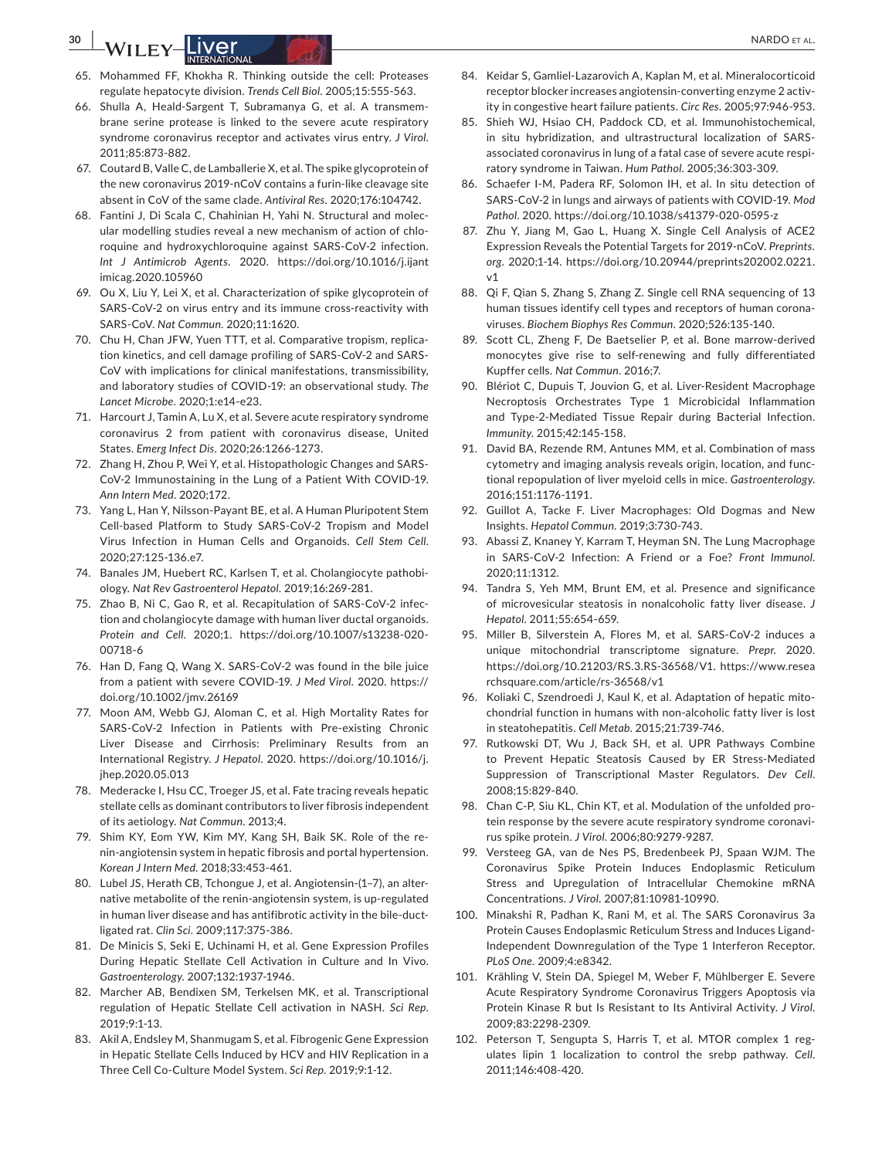**30 | A/II FY** |**DIARDO ETAL.** 

- 65. Mohammed FF, Khokha R. Thinking outside the cell: Proteases regulate hepatocyte division. *Trends Cell Biol*. 2005;15:555-563.
- 66. Shulla A, Heald-Sargent T, Subramanya G, et al. A transmembrane serine protease is linked to the severe acute respiratory syndrome coronavirus receptor and activates virus entry. *J Virol*. 2011;85:873-882.
- 67. Coutard B, Valle C, de Lamballerie X, et al. The spike glycoprotein of the new coronavirus 2019-nCoV contains a furin-like cleavage site absent in CoV of the same clade. *Antiviral Res*. 2020;176:104742.
- 68. Fantini J, Di Scala C, Chahinian H, Yahi N. Structural and molecular modelling studies reveal a new mechanism of action of chloroquine and hydroxychloroquine against SARS-CoV-2 infection. *Int J Antimicrob Agents*. 2020. [https://doi.org/10.1016/j.ijant](https://doi.org/10.1016/j.ijantimicag.2020.105960) [imicag.2020.105960](https://doi.org/10.1016/j.ijantimicag.2020.105960)
- 69. Ou X, Liu Y, Lei X, et al. Characterization of spike glycoprotein of SARS-CoV-2 on virus entry and its immune cross-reactivity with SARS-CoV. *Nat Commun*. 2020;11:1620.
- 70. Chu H, Chan JFW, Yuen TTT, et al. Comparative tropism, replication kinetics, and cell damage profiling of SARS-CoV-2 and SARS-CoV with implications for clinical manifestations, transmissibility, and laboratory studies of COVID-19: an observational study. *The Lancet Microbe*. 2020;1:e14-e23.
- 71. Harcourt J, Tamin A, Lu X, et al. Severe acute respiratory syndrome coronavirus 2 from patient with coronavirus disease, United States. *Emerg Infect Dis*. 2020;26:1266-1273.
- 72. Zhang H, Zhou P, Wei Y, et al. Histopathologic Changes and SARS-CoV-2 Immunostaining in the Lung of a Patient With COVID-19. *Ann Intern Med*. 2020;172.
- 73. Yang L, Han Y, Nilsson-Payant BE, et al. A Human Pluripotent Stem Cell-based Platform to Study SARS-CoV-2 Tropism and Model Virus Infection in Human Cells and Organoids. *Cell Stem Cell*. 2020;27:125-136.e7.
- 74. Banales JM, Huebert RC, Karlsen T, et al. Cholangiocyte pathobiology. *Nat Rev Gastroenterol Hepatol*. 2019;16:269-281.
- 75. Zhao B, Ni C, Gao R, et al. Recapitulation of SARS-CoV-2 infection and cholangiocyte damage with human liver ductal organoids. *Protein and Cell*. 2020;1. [https://doi.org/10.1007/s13238-020-](https://doi.org/10.1007/s13238-020-00718-6) [00718-6](https://doi.org/10.1007/s13238-020-00718-6)
- 76. Han D, Fang Q, Wang X. SARS-CoV-2 was found in the bile juice from a patient with severe COVID-19. *J Med Virol*. 2020. [https://](https://doi.org/10.1002/jmv.26169) [doi.org/10.1002/jmv.26169](https://doi.org/10.1002/jmv.26169)
- 77. Moon AM, Webb GJ, Aloman C, et al. High Mortality Rates for SARS-CoV-2 Infection in Patients with Pre-existing Chronic Liver Disease and Cirrhosis: Preliminary Results from an International Registry. *J Hepatol*. 2020. [https://doi.org/10.1016/j.](https://doi.org/10.1016/j.jhep.2020.05.013) [jhep.2020.05.013](https://doi.org/10.1016/j.jhep.2020.05.013)
- 78. Mederacke I, Hsu CC, Troeger JS, et al. Fate tracing reveals hepatic stellate cells as dominant contributors to liver fibrosis independent of its aetiology. *Nat Commun*. 2013;4.
- 79. Shim KY, Eom YW, Kim MY, Kang SH, Baik SK. Role of the renin-angiotensin system in hepatic fibrosis and portal hypertension. *Korean J Intern Med*. 2018;33:453-461.
- 80. Lubel JS, Herath CB, Tchongue J, et al. Angiotensin-(1–7), an alternative metabolite of the renin-angiotensin system, is up-regulated in human liver disease and has antifibrotic activity in the bile-ductligated rat. *Clin Sci*. 2009;117:375-386.
- 81. De Minicis S, Seki E, Uchinami H, et al. Gene Expression Profiles During Hepatic Stellate Cell Activation in Culture and In Vivo. *Gastroenterology*. 2007;132:1937-1946.
- 82. Marcher AB, Bendixen SM, Terkelsen MK, et al. Transcriptional regulation of Hepatic Stellate Cell activation in NASH. *Sci Rep*. 2019;9:1-13.
- 83. Akil A, Endsley M, Shanmugam S, et al. Fibrogenic Gene Expression in Hepatic Stellate Cells Induced by HCV and HIV Replication in a Three Cell Co-Culture Model System. *Sci Rep*. 2019;9:1-12.
- 84. Keidar S, Gamliel-Lazarovich A, Kaplan M, et al. Mineralocorticoid receptor blocker increases angiotensin-converting enzyme 2 activity in congestive heart failure patients. *Circ Res*. 2005;97:946-953.
- 85. Shieh WJ, Hsiao CH, Paddock CD, et al. Immunohistochemical, in situ hybridization, and ultrastructural localization of SARSassociated coronavirus in lung of a fatal case of severe acute respiratory syndrome in Taiwan. *Hum Pathol*. 2005;36:303-309.
- 86. Schaefer I-M, Padera RF, Solomon IH, et al. In situ detection of SARS-CoV-2 in lungs and airways of patients with COVID-19. *Mod Pathol*. 2020.<https://doi.org/10.1038/s41379-020-0595-z>
- 87. Zhu Y, Jiang M, Gao L, Huang X. Single Cell Analysis of ACE2 Expression Reveals the Potential Targets for 2019-nCoV. *Preprints. org*. 2020;1-14. [https://doi.org/10.20944/preprints202002.0221.](https://doi.org/10.20944/preprints202002.0221.v1) [v1](https://doi.org/10.20944/preprints202002.0221.v1)
- 88. Qi F, Qian S, Zhang S, Zhang Z. Single cell RNA sequencing of 13 human tissues identify cell types and receptors of human coronaviruses. *Biochem Biophys Res Commun*. 2020;526:135-140.
- 89. Scott CL, Zheng F, De Baetselier P, et al. Bone marrow-derived monocytes give rise to self-renewing and fully differentiated Kupffer cells. *Nat Commun*. 2016;7.
- 90. Blériot C, Dupuis T, Jouvion G, et al. Liver-Resident Macrophage Necroptosis Orchestrates Type 1 Microbicidal Inflammation and Type-2-Mediated Tissue Repair during Bacterial Infection. *Immunity*. 2015;42:145-158.
- 91. David BA, Rezende RM, Antunes MM, et al. Combination of mass cytometry and imaging analysis reveals origin, location, and functional repopulation of liver myeloid cells in mice. *Gastroenterology*. 2016;151:1176-1191.
- 92. Guillot A, Tacke F. Liver Macrophages: Old Dogmas and New Insights. *Hepatol Commun*. 2019;3:730-743.
- 93. Abassi Z, Knaney Y, Karram T, Heyman SN. The Lung Macrophage in SARS-CoV-2 Infection: A Friend or a Foe? *Front Immunol*. 2020;11:1312.
- 94. Tandra S, Yeh MM, Brunt EM, et al. Presence and significance of microvesicular steatosis in nonalcoholic fatty liver disease. *J Hepatol*. 2011;55:654-659.
- 95. Miller B, Silverstein A, Flores M, et al. SARS-CoV-2 induces a unique mitochondrial transcriptome signature. *Prepr*. 2020. [https://doi.org/10.21203/RS.3.RS-36568/V1.](https://doi.org/10.21203/RS.3.RS-36568/V1) [https://www.resea](https://www.researchsquare.com/article/rs-36568/v1) [rchsquare.com/article/rs-36568/v1](https://www.researchsquare.com/article/rs-36568/v1)
- 96. Koliaki C, Szendroedi J, Kaul K, et al. Adaptation of hepatic mitochondrial function in humans with non-alcoholic fatty liver is lost in steatohepatitis. *Cell Metab*. 2015;21:739-746.
- 97. Rutkowski DT, Wu J, Back SH, et al. UPR Pathways Combine to Prevent Hepatic Steatosis Caused by ER Stress-Mediated Suppression of Transcriptional Master Regulators. *Dev Cell*. 2008;15:829-840.
- 98. Chan C-P, Siu KL, Chin KT, et al. Modulation of the unfolded protein response by the severe acute respiratory syndrome coronavirus spike protein. *J Virol*. 2006;80:9279-9287.
- 99. Versteeg GA, van de Nes PS, Bredenbeek PJ, Spaan WJM. The Coronavirus Spike Protein Induces Endoplasmic Reticulum Stress and Upregulation of Intracellular Chemokine mRNA Concentrations. *J Virol*. 2007;81:10981-10990.
- 100. Minakshi R, Padhan K, Rani M, et al. The SARS Coronavirus 3a Protein Causes Endoplasmic Reticulum Stress and Induces Ligand-Independent Downregulation of the Type 1 Interferon Receptor. *PLoS One*. 2009;4:e8342.
- 101. Krähling V, Stein DA, Spiegel M, Weber F, Mühlberger E. Severe Acute Respiratory Syndrome Coronavirus Triggers Apoptosis via Protein Kinase R but Is Resistant to Its Antiviral Activity. *J Virol*. 2009;83:2298-2309.
- 102. Peterson T, Sengupta S, Harris T, et al. MTOR complex 1 regulates lipin 1 localization to control the srebp pathway. *Cell*. 2011;146:408-420.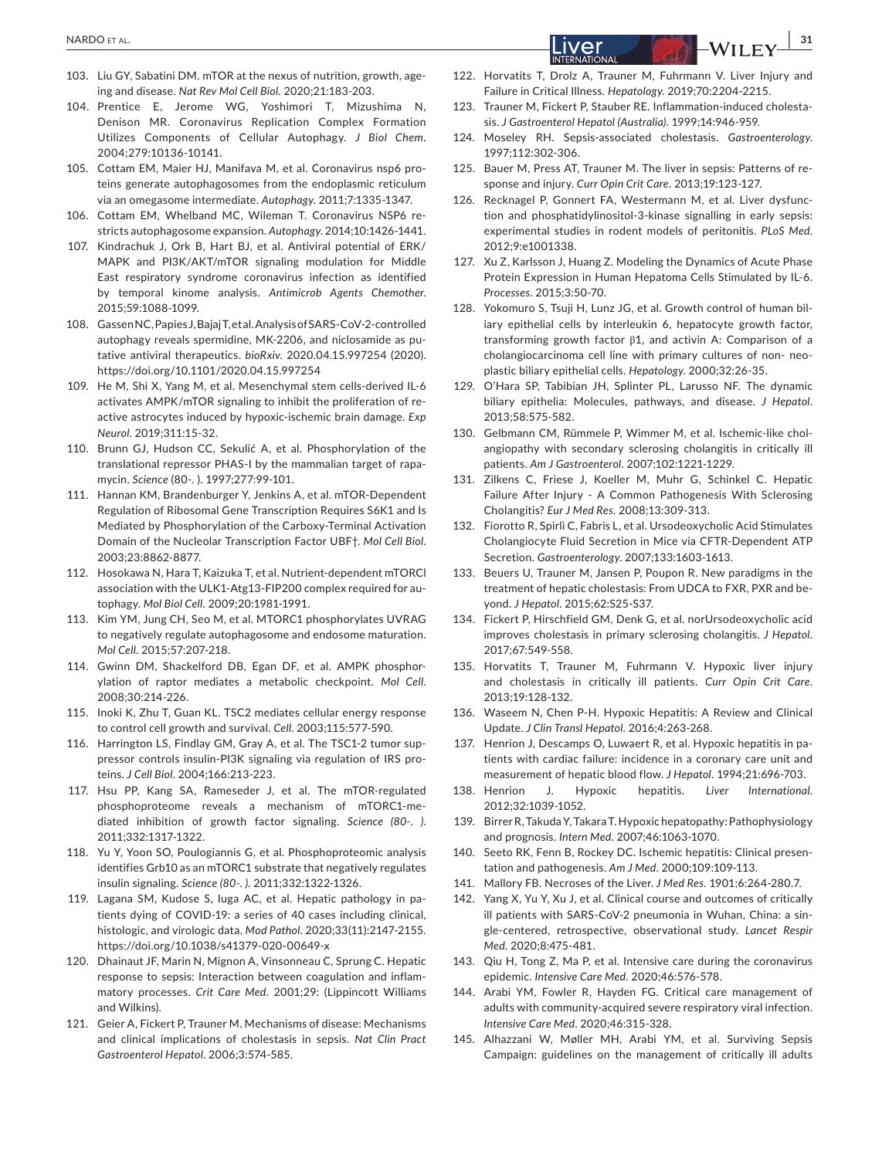- 103. Liu GY, Sabatini DM. mTOR at the nexus of nutrition, growth, ageing and disease. *Nat Rev Mol Cell Biol*. 2020;21:183-203.
- 104. Prentice E, Jerome WG, Yoshimori T, Mizushima N, Denison MR. Coronavirus Replication Complex Formation Utilizes Components of Cellular Autophagy. *J Biol Chem*. 2004;279:10136-10141.
- 105. Cottam EM, Maier HJ, Manifava M, et al. Coronavirus nsp6 proteins generate autophagosomes from the endoplasmic reticulum via an omegasome intermediate. *Autophagy*. 2011;7:1335-1347.
- 106. Cottam EM, Whelband MC, Wileman T. Coronavirus NSP6 restricts autophagosome expansion. *Autophagy*. 2014;10:1426-1441.
- 107. Kindrachuk J, Ork B, Hart BJ, et al. Antiviral potential of ERK/ MAPK and PI3K/AKT/mTOR signaling modulation for Middle East respiratory syndrome coronavirus infection as identified by temporal kinome analysis. *Antimicrob Agents Chemother*. 2015;59:1088-1099.
- 108. Gassen NC, Papies J, Bajaj T, et al. Analysis of SARS-CoV-2-controlled autophagy reveals spermidine, MK-2206, and niclosamide as putative antiviral therapeutics. *bioRxiv*. 2020.04.15.997254 (2020). <https://doi.org/10.1101/2020.04.15.997254>
- 109. He M, Shi X, Yang M, et al. Mesenchymal stem cells-derived IL-6 activates AMPK/mTOR signaling to inhibit the proliferation of reactive astrocytes induced by hypoxic-ischemic brain damage. *Exp Neurol*. 2019;311:15-32.
- 110. Brunn GJ, Hudson CC, Sekulić A, et al. Phosphorylation of the translational repressor PHAS-I by the mammalian target of rapamycin. *Science* (80-. ). 1997;277:99-101.
- 111. Hannan KM, Brandenburger Y, Jenkins A, et al. mTOR-Dependent Regulation of Ribosomal Gene Transcription Requires S6K1 and Is Mediated by Phosphorylation of the Carboxy-Terminal Activation Domain of the Nucleolar Transcription Factor UBF†. *Mol Cell Biol*. 2003;23:8862-8877.
- 112. Hosokawa N, Hara T, Kaizuka T, et al. Nutrient-dependent mTORCl association with the ULK1-Atg13-FIP200 complex required for autophagy. *Mol Biol Cell*. 2009;20:1981-1991.
- 113. Kim YM, Jung CH, Seo M, et al. MTORC1 phosphorylates UVRAG to negatively regulate autophagosome and endosome maturation. *Mol Cell*. 2015;57:207-218.
- 114. Gwinn DM, Shackelford DB, Egan DF, et al. AMPK phosphorylation of raptor mediates a metabolic checkpoint. *Mol Cell*. 2008;30:214-226.
- 115. Inoki K, Zhu T, Guan KL. TSC2 mediates cellular energy response to control cell growth and survival. *Cell*. 2003;115:577-590.
- 116. Harrington LS, Findlay GM, Gray A, et al. The TSC1-2 tumor suppressor controls insulin-PI3K signaling via regulation of IRS proteins. *J Cell Biol*. 2004;166:213-223.
- 117. Hsu PP, Kang SA, Rameseder J, et al. The mTOR-regulated phosphoproteome reveals a mechanism of mTORC1-mediated inhibition of growth factor signaling. *Science (80-. )*. 2011;332:1317-1322.
- 118. Yu Y, Yoon SO, Poulogiannis G, et al. Phosphoproteomic analysis identifies Grb10 as an mTORC1 substrate that negatively regulates insulin signaling. *Science (80-. )*. 2011;332:1322-1326.
- 119. Lagana SM, Kudose S, Iuga AC, et al. Hepatic pathology in patients dying of COVID-19: a series of 40 cases including clinical, histologic, and virologic data. *Mod Pathol*. 2020;33(11):2147-2155. <https://doi.org/10.1038/s41379-020-00649-x>
- 120. Dhainaut JF, Marin N, Mignon A, Vinsonneau C, Sprung C. Hepatic response to sepsis: Interaction between coagulation and inflammatory processes. *Crit Care Med*. 2001;29: (Lippincott Williams and Wilkins).
- 121. Geier A, Fickert P, Trauner M. Mechanisms of disease: Mechanisms and clinical implications of cholestasis in sepsis. *Nat Clin Pract Gastroenterol Hepatol*. 2006;3:574-585.
- 122. Horvatits T, Drolz A, Trauner M, Fuhrmann V. Liver Injury and Failure in Critical Illness. *Hepatology*. 2019;70:2204-2215.
- 123. Trauner M, Fickert P, Stauber RE. Inflammation-induced cholestasis. *J Gastroenterol Hepatol (Australia)*. 1999;14:946-959.
- 124. Moseley RH. Sepsis-associated cholestasis. *Gastroenterology*. 1997;112:302-306.
- 125. Bauer M, Press AT, Trauner M. The liver in sepsis: Patterns of response and injury. *Curr Opin Crit Care*. 2013;19:123-127.
- 126. Recknagel P, Gonnert FA, Westermann M, et al. Liver dysfunction and phosphatidylinositol-3-kinase signalling in early sepsis: experimental studies in rodent models of peritonitis. *PLoS Med*. 2012;9:e1001338.
- 127. Xu Z, Karlsson J, Huang Z. Modeling the Dynamics of Acute Phase Protein Expression in Human Hepatoma Cells Stimulated by IL-6. *Processes*. 2015;3:50-70.
- 128. Yokomuro S, Tsuji H, Lunz JG, et al. Growth control of human biliary epithelial cells by interleukin 6, hepatocyte growth factor, transforming growth factor β1, and activin A: Comparison of a cholangiocarcinoma cell line with primary cultures of non- neoplastic biliary epithelial cells. *Hepatology*. 2000;32:26-35.
- 129. O'Hara SP, Tabibian JH, Splinter PL, Larusso NF. The dynamic biliary epithelia: Molecules, pathways, and disease. *J Hepatol*. 2013;58:575-582.
- 130. Gelbmann CM, Rümmele P, Wimmer M, et al. Ischemic-like cholangiopathy with secondary sclerosing cholangitis in critically ill patients. *Am J Gastroenterol*. 2007;102:1221-1229.
- 131. Zilkens C, Friese J, Koeller M, Muhr G, Schinkel C. Hepatic Failure After Injury - A Common Pathogenesis With Sclerosing Cholangitis? *Eur J Med Res*. 2008;13:309-313.
- 132. Fiorotto R, Spirlì C, Fabris L, et al. Ursodeoxycholic Acid Stimulates Cholangiocyte Fluid Secretion in Mice via CFTR-Dependent ATP Secretion. *Gastroenterology*. 2007;133:1603-1613.
- 133. Beuers U, Trauner M, Jansen P, Poupon R. New paradigms in the treatment of hepatic cholestasis: From UDCA to FXR, PXR and beyond. *J Hepatol*. 2015;62:S25-S37.
- 134. Fickert P, Hirschfield GM, Denk G, et al. norUrsodeoxycholic acid improves cholestasis in primary sclerosing cholangitis. *J Hepatol*. 2017;67:549-558.
- 135. Horvatits T, Trauner M, Fuhrmann V. Hypoxic liver injury and cholestasis in critically ill patients. *Curr Opin Crit Care*. 2013;19:128-132.
- 136. Waseem N, Chen P-H. Hypoxic Hepatitis: A Review and Clinical Update. *J Clin Transl Hepatol*. 2016;4:263-268.
- 137. Henrion J, Descamps O, Luwaert R, et al. Hypoxic hepatitis in patients with cardiac failure: incidence in a coronary care unit and measurement of hepatic blood flow. *J Hepatol*. 1994;21:696-703.
- 138. Henrion J. Hypoxic hepatitis. *Liver International*. 2012;32:1039-1052.
- 139. Birrer R, Takuda Y, Takara T. Hypoxic hepatopathy: Pathophysiology and prognosis. *Intern Med*. 2007;46:1063-1070.
- 140. Seeto RK, Fenn B, Rockey DC. Ischemic hepatitis: Clinical presentation and pathogenesis. *Am J Med*. 2000;109:109-113.
- 141. Mallory FB. Necroses of the Liver. *J Med Res*. 1901;6:264-280.7.
- 142. Yang X, Yu Y, Xu J, et al. Clinical course and outcomes of critically ill patients with SARS-CoV-2 pneumonia in Wuhan, China: a single-centered, retrospective, observational study. *Lancet Respir Med*. 2020;8:475-481.
- 143. Qiu H, Tong Z, Ma P, et al. Intensive care during the coronavirus epidemic. *Intensive Care Med*. 2020;46:576-578.
- 144. Arabi YM, Fowler R, Hayden FG. Critical care management of adults with community-acquired severe respiratory viral infection. *Intensive Care Med*. 2020;46:315-328.
- 145. Alhazzani W, Møller MH, Arabi YM, et al. Surviving Sepsis Campaign: guidelines on the management of critically ill adults